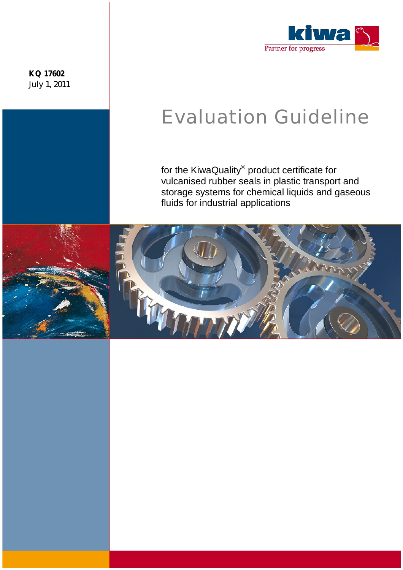**KQ 17602**  July 1, 2011



# Evaluation Guideline

for the KiwaQuality® product certificate for vulcanised rubber seals in plastic transport and storage systems for chemical liquids and gaseous fluids for industrial applications

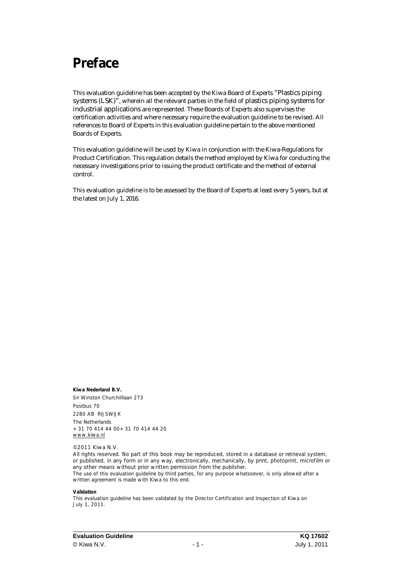### **Preface**

This evaluation guideline has been accepted by the Kiwa Board of Experts "Plastics piping systems (LSK)", wherein all the relevant parties in the field of plastics piping systems for industrial applications are represented. These Boards of Experts also supervises the certification activities and where necessary require the evaluation guideline to be revised. All references to Board of Experts in this evaluation guideline pertain to the above mentioned Boards of Experts.

This evaluation guideline will be used by Kiwa in conjunction with the Kiwa-Regulations for Product Certification. This regulation details the method employed by Kiwa for conducting the necessary investigations prior to issuing the product certificate and the method of external control.

This evaluation guideline is to be assessed by the Board of Experts at least every 5 years, but at the latest on July 1, 2016.

**Kiwa Nederland B.V.**  Sir Winston Churchilllaan 273 Postbus 70 2280 AB RIJSWIJK The Netherlands +31 70 414 44 00+31 70 414 44 20 [www.kiwa.nl](http://www.kiwa.nl)

© 2011 Kiwa N.V.

All rights reserved. No part of this book may be reproduced, stored in a database or retrieval system, or published, in any form or in any way, electronically, mechanically, by print, photoprint, microfilm or any other means without prior written permission from the publisher. The use of this evaluation guideline by third parties, for any purpose whatsoever, is only allowed after a written agreement is made with Kiwa to this end.

#### **Validation**

This evaluation guideline has been validated by the Director Certification and Inspection of Kiwa on July 1, 2011.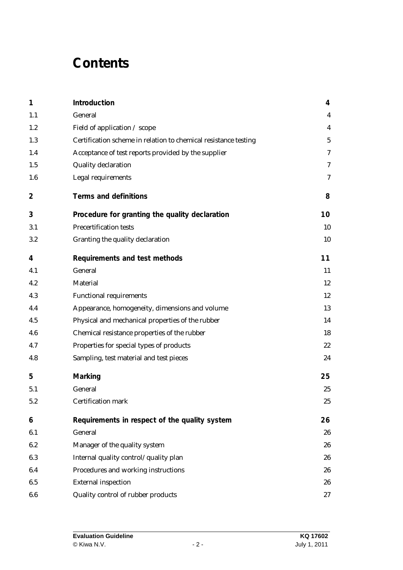### **Contents**

| 1              | Introduction                                                    | 4                |
|----------------|-----------------------------------------------------------------|------------------|
| 1.1            | General                                                         | 4                |
| 1.2            | Field of application / scope                                    | 4                |
| 1.3            | Certification scheme in relation to chemical resistance testing | $\sqrt{5}$       |
| 1.4            | Acceptance of test reports provided by the supplier             | $\boldsymbol{7}$ |
| 1.5            | <b>Quality declaration</b>                                      | 7                |
| 1.6            | <b>Legal requirements</b>                                       | 7                |
| $\overline{2}$ | <b>Terms and definitions</b>                                    | 8                |
| 3              | Procedure for granting the quality declaration                  | 10               |
| 3.1            | <b>Precertification tests</b>                                   | 10               |
| 3.2            | Granting the quality declaration                                | 10               |
| 4              | Requirements and test methods                                   | 11               |
| 4.1            | <b>General</b>                                                  | 11               |
| 4.2            | <b>Material</b>                                                 | 12               |
| 4.3            | <b>Functional requirements</b>                                  | 12               |
| 4.4            | Appearance, homogeneity, dimensions and volume                  | 13               |
| 4.5            | Physical and mechanical properties of the rubber                | 14               |
| 4.6            | Chemical resistance properties of the rubber                    | 18               |
| 4.7            | Properties for special types of products                        | 22               |
| 4.8            | Sampling, test material and test pieces                         | 24               |
| 5              | Marking                                                         | 25               |
| 5.1            | General                                                         | 25               |
| 5.2            | <b>Certification mark</b>                                       | 25               |
| 6              | Requirements in respect of the quality system                   | 26               |
| 6.1            | General                                                         | 26               |
| 6.2            | Manager of the quality system                                   | 26               |
| 6.3            | Internal quality control/quality plan                           | 26               |
| 6.4            | Procedures and working instructions                             | 26               |
| 6.5            | <b>External inspection</b>                                      | 26               |
| 6.6            | Quality control of rubber products                              | 27               |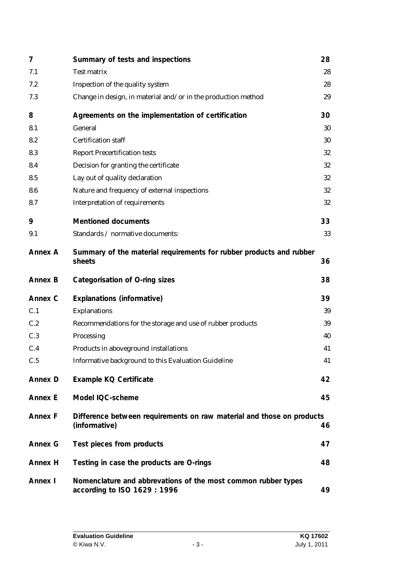| 7              | Summary of tests and inspections                                                              | 28 |
|----------------|-----------------------------------------------------------------------------------------------|----|
| 7.1            | <b>Test matrix</b>                                                                            | 28 |
| 7.2            | Inspection of the quality system                                                              | 28 |
| 7.3            | Change in design, in material and/or in the production method                                 | 29 |
| 8              | Agreements on the implementation of certification                                             | 30 |
| 8.1            | <b>General</b>                                                                                | 30 |
| 8.2            | <b>Certification staff</b>                                                                    | 30 |
| 8.3            | <b>Report Precertification tests</b>                                                          | 32 |
| 8.4            | Decision for granting the certificate                                                         | 32 |
| 8.5            | Lay out of quality declaration                                                                | 32 |
| 8.6            | Nature and frequency of external inspections                                                  | 32 |
| 8.7            | <b>Interpretation of requirements</b>                                                         | 32 |
| 9              | <b>Mentioned documents</b>                                                                    | 33 |
| 9.1            | Standards / normative documents:                                                              | 33 |
| <b>Annex A</b> | Summary of the material requirements for rubber products and rubber<br>sheets                 | 36 |
| <b>Annex B</b> | Categorisation of O-ring sizes                                                                | 38 |
| Annex C        | <b>Explanations (informative)</b>                                                             | 39 |
| C.1            | <b>Explanations</b>                                                                           | 39 |
| C.2            | Recommendations for the storage and use of rubber products                                    | 39 |
| C.3            | Processing                                                                                    | 40 |
| C.4            | Products in aboveground installations                                                         | 41 |
| C.5            | Informative background to this Evaluation Guideline                                           | 41 |
| <b>Annex D</b> | Example KQ Certificate                                                                        | 42 |
| <b>Annex E</b> | Model IQC-scheme                                                                              | 45 |
| <b>Annex F</b> | Difference between requirements on raw material and those on products<br>(informative)        | 46 |
| <b>Annex G</b> | Test pieces from products                                                                     | 47 |
| Annex H        | Testing in case the products are O-rings                                                      | 48 |
| Annex I        | Nomenclature and abbrevations of the most common rubber types<br>according to ISO 1629 : 1996 | 49 |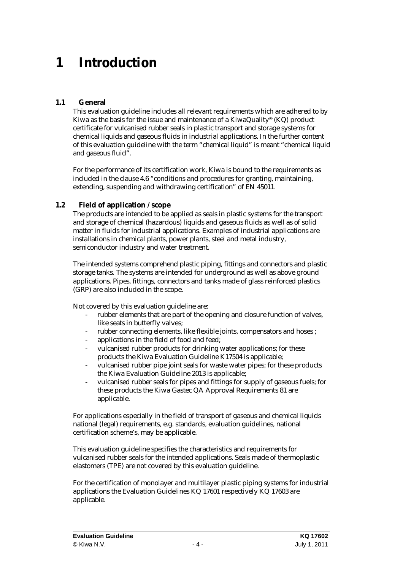### **1 Introduction**

### **1.1 General**

This evaluation guideline includes all relevant requirements which are adhered to by Kiwa as the basis for the issue and maintenance of a KiwaQuality® (KQ) product certificate for vulcanised rubber seals in plastic transport and storage systems for chemical liquids and gaseous fluids in industrial applications. In the further content of this evaluation guideline with the term "chemical liquid" is meant "chemical liquid and gaseous fluid".

For the performance of its certification work, Kiwa is bound to the requirements as included in the clause 4.6 "conditions and procedures for granting, maintaining, extending, suspending and withdrawing certification" of EN 45011.

### **1.2 Field of application / scope**

The products are intended to be applied as seals in plastic systems for the transport and storage of chemical (hazardous) liquids and gaseous fluids as well as of solid matter in fluids for industrial applications. Examples of industrial applications are installations in chemical plants, power plants, steel and metal industry, semiconductor industry and water treatment.

The intended systems comprehend plastic piping, fittings and connectors and plastic storage tanks. The systems are intended for underground as well as above ground applications. Pipes, fittings, connectors and tanks made of glass reinforced plastics (GRP) are also included in the scope.

Not covered by this evaluation guideline are:

- rubber elements that are part of the opening and closure function of valves, like seats in butterfly valves;
- rubber connecting elements, like flexible joints, compensators and hoses ;
- applications in the field of food and feed:
- vulcanised rubber products for drinking water applications; for these products the Kiwa Evaluation Guideline K17504 is applicable;
- vulcanised rubber pipe joint seals for waste water pipes; for these products the Kiwa Evaluation Guideline 2013 is applicable;
- vulcanised rubber seals for pipes and fittings for supply of gaseous fuels; for these products the Kiwa Gastec QA Approval Requirements 81 are applicable.

For applications especially in the field of transport of gaseous and chemical liquids national (legal) requirements, e.g. standards, evaluation guidelines, national certification scheme's, may be applicable.

This evaluation guideline specifies the characteristics and requirements for vulcanised rubber seals for the intended applications. Seals made of thermoplastic elastomers (TPE) are not covered by this evaluation guideline.

For the certification of monolayer and multilayer plastic piping systems for industrial applications the Evaluation Guidelines KQ 17601 respectively KQ 17603 are applicable.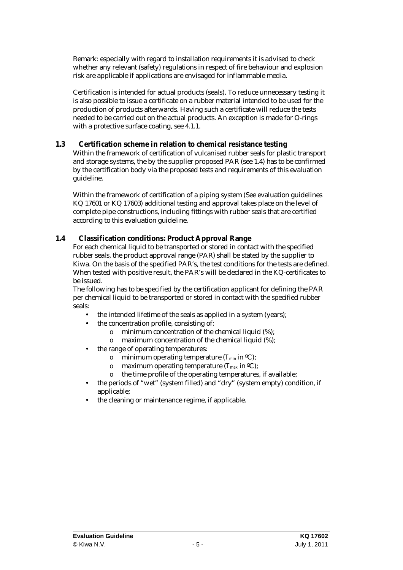Remark: especially with regard to installation requirements it is advised to check whether any relevant (safety) regulations in respect of fire behaviour and explosion risk are applicable if applications are envisaged for inflammable media.

Certification is intended for actual products (seals). To reduce unnecessary testing it is also possible to issue a certificate on a rubber material intended to be used for the production of products afterwards. Having such a certificate will reduce the tests needed to be carried out on the actual products. An exception is made for O-rings with a protective surface coating, see 4.1.1.

### **1.3 Certification scheme in relation to chemical resistance testing**

Within the framework of certification of vulcanised rubber seals for plastic transport and storage systems, the by the supplier proposed PAR (see 1.4) has to be confirmed by the certification body via the proposed tests and requirements of this evaluation guideline.

Within the framework of certification of a piping system (See evaluation guidelines KQ 17601 or KQ 17603) additional testing and approval takes place on the level of complete pipe constructions, including fittings with rubber seals that are certified according to this evaluation guideline.

### **1.4 Classification conditions: Product Approval Range**

For each chemical liquid to be transported or stored in contact with the specified rubber seals, the product approval range (PAR) shall be stated by the supplier to Kiwa. On the basis of the specified PAR's, the test conditions for the tests are defined. When tested with positive result, the PAR's will be declared in the KQ-certificates to be issued.

The following has to be specified by the certification applicant for defining the PAR per chemical liquid to be transported or stored in contact with the specified rubber seals:

- the intended lifetime of the seals as applied in a system (years);
- the concentration profile, consisting of:
	- o minimum concentration of the chemical liquid (%);
	- o maximum concentration of the chemical liquid (%);
- the range of operating temperatures:
	- o minimum operating temperature (*Tmin* in ºC);
	- o maximum operating temperature (*Tmax* in ºC);
	- o the time profile of the operating temperatures, if available;
- the periods of "wet" (system filled) and "dry" (system empty) condition, if applicable;
- the cleaning or maintenance regime, if applicable.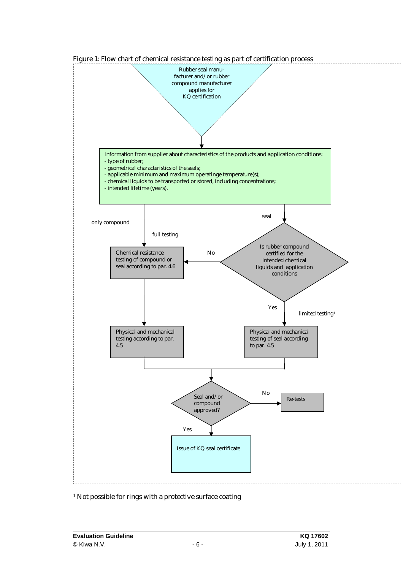

#### Figure 1: Flow chart of chemical resistance testing as part of certification process

#### <sup>1</sup> Not possible for rings with a protective surface coating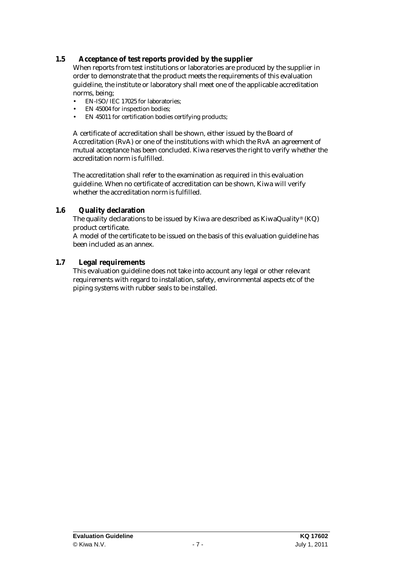### **1.5 Acceptance of test reports provided by the supplier**

When reports from test institutions or laboratories are produced by the supplier in order to demonstrate that the product meets the requirements of this evaluation guideline, the institute or laboratory shall meet one of the applicable accreditation norms, being;

- EN-ISO/IEC 17025 for laboratories;
- EN 45004 for inspection bodies;
- EN 45011 for certification bodies certifying products;

A certificate of accreditation shall be shown, either issued by the Board of Accreditation (RvA) or one of the institutions with which the RvA an agreement of mutual acceptance has been concluded. Kiwa reserves the right to verify whether the accreditation norm is fulfilled.

The accreditation shall refer to the examination as required in this evaluation guideline. When no certificate of accreditation can be shown, Kiwa will verify whether the accreditation norm is fulfilled.

### **1.6 Quality declaration**

The quality declarations to be issued by Kiwa are described as KiwaQuality® (KQ) product certificate.

A model of the certificate to be issued on the basis of this evaluation guideline has been included as an annex.

### **1.7 Legal requirements**

This evaluation guideline does not take into account any legal or other relevant requirements with regard to installation, safety, environmental aspects etc of the piping systems with rubber seals to be installed.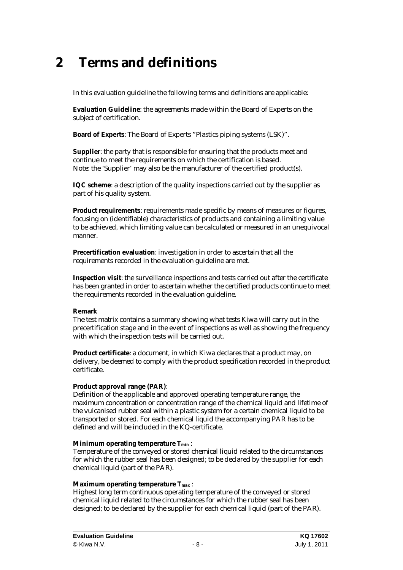### **2 Terms and definitions**

In this evaluation guideline the following terms and definitions are applicable:

**Evaluation Guideline**: the agreements made within the Board of Experts on the subject of certification.

**Board of Experts**: The Board of Experts "Plastics piping systems (LSK)".

**Supplier**: the party that is responsible for ensuring that the products meet and continue to meet the requirements on which the certification is based. Note: the 'Supplier' may also be the manufacturer of the certified product(s).

**IQC scheme**: a description of the quality inspections carried out by the supplier as part of his quality system.

**Product requirements**: requirements made specific by means of measures or figures, focusing on (identifiable) characteristics of products and containing a limiting value to be achieved, which limiting value can be calculated or measured in an unequivocal manner.

**Precertification evaluation**: investigation in order to ascertain that all the requirements recorded in the evaluation guideline are met.

**Inspection visit**: the surveillance inspections and tests carried out after the certificate has been granted in order to ascertain whether the certified products continue to meet the requirements recorded in the evaluation guideline.

#### **Remark**

The test matrix contains a summary showing what tests Kiwa will carry out in the precertification stage and in the event of inspections as well as showing the frequency with which the inspection tests will be carried out.

**Product certificate**: a document, in which Kiwa declares that a product may, on delivery, be deemed to comply with the product specification recorded in the product certificate.

#### **Product approval range (PAR)**:

Definition of the applicable and approved operating temperature range, the maximum concentration or concentration range of the chemical liquid and lifetime of the vulcanised rubber seal within a plastic system for a certain chemical liquid to be transported or stored. For each chemical liquid the accompanying PAR has to be defined and will be included in the KQ-certificate.

#### **Minimum operating temperature** *Tmin* :

Temperature of the conveyed or stored chemical liquid related to the circumstances for which the rubber seal has been designed; to be declared by the supplier for each chemical liquid (part of the PAR).

#### **Maximum operating temperature** *Tmax* :

Highest long term continuous operating temperature of the conveyed or stored chemical liquid related to the circumstances for which the rubber seal has been designed; to be declared by the supplier for each chemical liquid (part of the PAR).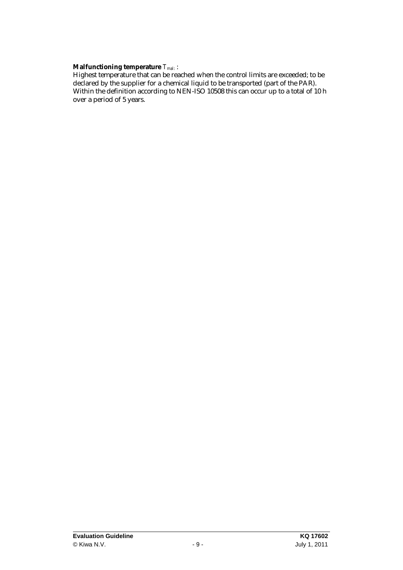**Malfunctioning temperature** *Tmal*: :

Highest temperature that can be reached when the control limits are exceeded; to be declared by the supplier for a chemical liquid to be transported (part of the PAR). Within the definition according to NEN-ISO 10508 this can occur up to a total of 10 h over a period of 5 years.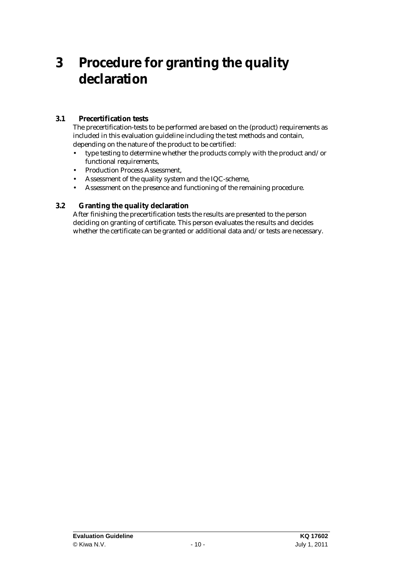### **3 Procedure for granting the quality declaration**

### **3.1 Precertification tests**

The precertification-tests to be performed are based on the (product) requirements as included in this evaluation guideline including the test methods and contain, depending on the nature of the product to be certified:

- type testing to determine whether the products comply with the product and/or functional requirements,
- Production Process Assessment,
- Assessment of the quality system and the IQC-scheme,
- Assessment on the presence and functioning of the remaining procedure.

### **3.2 Granting the quality declaration**

After finishing the precertification tests the results are presented to the person deciding on granting of certificate. This person evaluates the results and decides whether the certificate can be granted or additional data and/or tests are necessary.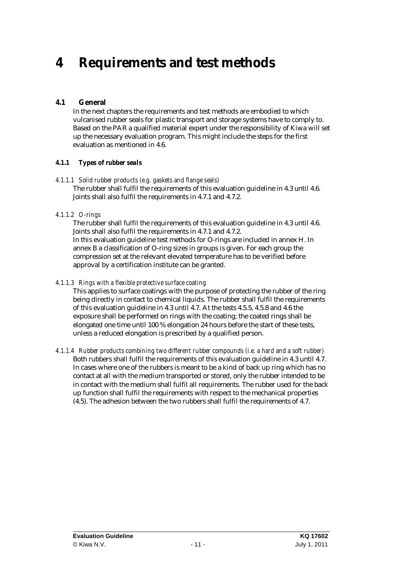### **4 Requirements and test methods**

### **4.1 General**

In the next chapters the requirements and test methods are embodied to which vulcanised rubber seals for plastic transport and storage systems have to comply to. Based on the PAR a qualified material expert under the responsibility of Kiwa will set up the necessary evaluation program. This might include the steps for the first evaluation as mentioned in 4.6.

### *4.1.1 Types of rubber seals*

### *4.1.1.1 Solid rubber products (e.g. gaskets and flange seals)*

The rubber shall fulfil the requirements of this evaluation guideline in 4.3 until 4.6. Joints shall also fulfil the requirements in 4.7.1 and 4.7.2.

### *4.1.1.2 O-rings*

The rubber shall fulfil the requirements of this evaluation guideline in 4.3 until 4.6. Joints shall also fulfil the requirements in 4.7.1 and 4.7.2.

In this evaluation guideline test methods for O-rings are included in annex H. In annex B a classification of O-ring sizes in groups is given. For each group the compression set at the relevant elevated temperature has to be verified before approval by a certification institute can be granted.

### *4.1.1.3 Rings with a flexible protective surface coating*

This applies to surface coatings with the purpose of protecting the rubber of the ring being directly in contact to chemical liquids. The rubber shall fulfil the requirements of this evaluation guideline in 4.3 until 4.7. At the tests 4.5.5, 4.5.8 and 4.6 the exposure shall be performed on rings with the coating; the coated rings shall be elongated one time until 100 % elongation 24 hours before the start of these tests, unless a reduced elongation is prescribed by a qualified person.

### *4.1.1.4 Rubber products combining two different rubber compounds (i.e. a hard and a soft rubber)*

Both rubbers shall fulfil the requirements of this evaluation guideline in 4.3 until 4.7. In cases where one of the rubbers is meant to be a kind of back up ring which has no contact at all with the medium transported or stored, only the rubber intended to be in contact with the medium shall fulfil all requirements. The rubber used for the back up function shall fulfil the requirements with respect to the mechanical properties (4.5). The adhesion between the two rubbers shall fulfil the requirements of 4.7.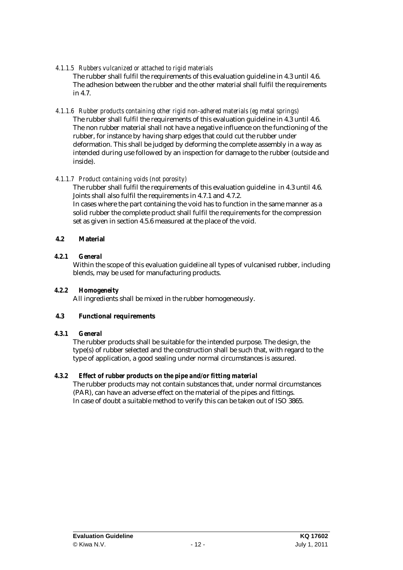### *4.1.1.5 Rubbers vulcanized or attached to rigid materials*

The rubber shall fulfil the requirements of this evaluation guideline in 4.3 until 4.6. The adhesion between the rubber and the other material shall fulfil the requirements in 4.7.

### *4.1.1.6 Rubber products containing other rigid non-adhered materials (eg metal springs)*

The rubber shall fulfil the requirements of this evaluation guideline in 4.3 until 4.6. The non rubber material shall not have a negative influence on the functioning of the rubber, for instance by having sharp edges that could cut the rubber under deformation. This shall be judged by deforming the complete assembly in a way as intended during use followed by an inspection for damage to the rubber (outside and inside).

### *4.1.1.7 Product containing voids (not porosity)*

The rubber shall fulfil the requirements of this evaluation guideline in 4.3 until 4.6. Joints shall also fulfil the requirements in 4.7.1 and 4.7.2.

In cases where the part containing the void has to function in the same manner as a solid rubber the complete product shall fulfil the requirements for the compression set as given in section 4.5.6 measured at the place of the void.

### **4.2 Material**

### *4.2.1 General*

Within the scope of this evaluation guideline all types of vulcanised rubber, including blends, may be used for manufacturing products.

#### *4.2.2 Homogeneity*

All ingredients shall be mixed in the rubber homogeneously.

### **4.3 Functional requirements**

### *4.3.1 General*

The rubber products shall be suitable for the intended purpose. The design, the type(s) of rubber selected and the construction shall be such that, with regard to the type of application, a good sealing under normal circumstances is assured.

### *4.3.2 Effect of rubber products on the pipe and/or fitting material*

The rubber products may not contain substances that, under normal circumstances (PAR), can have an adverse effect on the material of the pipes and fittings. In case of doubt a suitable method to verify this can be taken out of ISO 3865.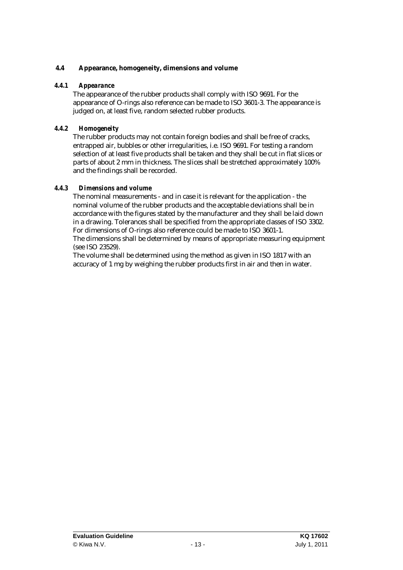### **4.4 Appearance, homogeneity, dimensions and volume**

### *4.4.1 Appearance*

The appearance of the rubber products shall comply with ISO 9691. For the appearance of O-rings also reference can be made to ISO 3601-3. The appearance is judged on, at least five, random selected rubber products.

### *4.4.2 Homogeneity*

The rubber products may not contain foreign bodies and shall be free of cracks, entrapped air, bubbles or other irregularities, i.e. ISO 9691. For testing a random selection of at least five products shall be taken and they shall be cut in flat slices or parts of about 2 mm in thickness. The slices shall be stretched approximately 100% and the findings shall be recorded.

### *4.4.3 Dimensions and volume*

The nominal measurements - and in case it is relevant for the application - the nominal volume of the rubber products and the acceptable deviations shall be in accordance with the figures stated by the manufacturer and they shall be laid down in a drawing. Tolerances shall be specified from the appropriate classes of ISO 3302. For dimensions of O-rings also reference could be made to ISO 3601-1.

The dimensions shall be determined by means of appropriate measuring equipment (see ISO 23529).

The volume shall be determined using the method as given in ISO 1817 with an accuracy of 1 mg by weighing the rubber products first in air and then in water.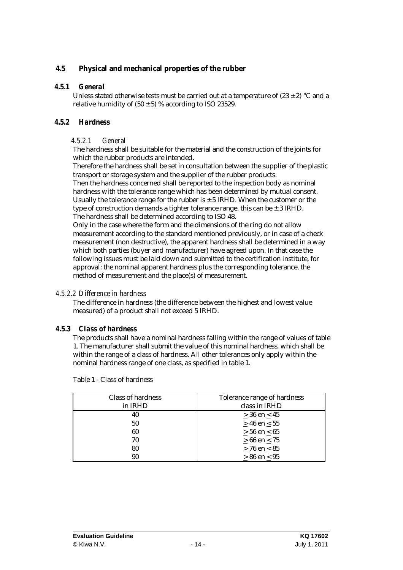### **4.5 Physical and mechanical properties of the rubber**

### *4.5.1 General*

Unless stated otherwise tests must be carried out at a temperature of  $(23 \pm 2)$  °C and a relative humidity of  $(50 \pm 5)$  % according to ISO 23529.

### *4.5.2 Hardness*

### *4.5.2.1 General*

The hardness shall be suitable for the material and the construction of the joints for which the rubber products are intended.

Therefore the hardness shall be set in consultation between the supplier of the plastic transport or storage system and the supplier of the rubber products.

Then the hardness concerned shall be reported to the inspection body as nominal hardness with the tolerance range which has been determined by mutual consent. Usually the tolerance range for the rubber is  $\pm$  5 IRHD. When the customer or the type of construction demands a tighter tolerance range, this can be  $\pm$  3 IRHD. The hardness shall be determined according to ISO 48.

Only in the case where the form and the dimensions of the ring do not allow measurement according to the standard mentioned previously, or in case of a check measurement (non destructive), the apparent hardness shall be determined in a way which both parties (buyer and manufacturer) have agreed upon. In that case the following issues must be laid down and submitted to the certification institute, for approval: the nominal apparent hardness plus the corresponding tolerance, the method of measurement and the place(s) of measurement.

### *4.5.2.2 Difference in hardness*

The difference in hardness (the difference between the highest and lowest value measured) of a product shall not exceed 5 IRHD.

### *4.5.3 Class of hardness*

The products shall have a nominal hardness falling within the range of values of table 1. The manufacturer shall submit the value of this nominal hardness, which shall be within the range of a class of hardness. All other tolerances only apply within the nominal hardness range of one class, as specified in table 1.

| Table 1 - Class of hardness |  |
|-----------------------------|--|
|-----------------------------|--|

| <b>Class of hardness</b> | Tolerance range of hardness |
|--------------------------|-----------------------------|
| in IRHD                  | class in IRHD               |
| 40                       | $> 36$ en < 45              |
| 50                       | $> 46$ en < 55              |
| 60                       | $> 56$ en < 65              |
| 70                       | $> 66$ en < 75              |
| 80                       | $> 76$ en $< 85$            |
| 90                       | $\geq 86$ en $\leq 95$      |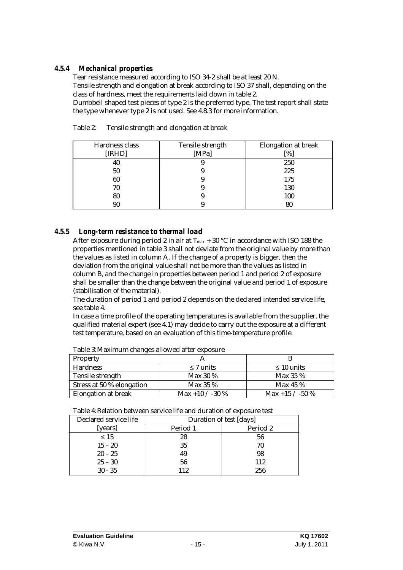### *4.5.4 Mechanical properties*

Tear resistance measured according to ISO 34-2 shall be at least 20 N. Tensile strength and elongation at break according to ISO 37 shall, depending on the class of hardness, meet the requirements laid down in table 2.

Dumbbell shaped test pieces of type 2 is the preferred type. The test report shall state the type whenever type 2 is not used. See 4.8.3 for more information.

| Hardness class<br>[IRHD] | <b>Tensile strength</b><br>[ $MPa$ ] | <b>Elongation at break</b><br>$\lceil \% \rceil$ |
|--------------------------|--------------------------------------|--------------------------------------------------|
| 40                       |                                      | 250                                              |
| 50                       |                                      | 225                                              |
| 60                       |                                      | 175                                              |
| 70                       |                                      | 130                                              |
| 80                       |                                      | 100                                              |
| 90                       |                                      | 80                                               |

Table 2: Tensile strength and elongation at break

### *4.5.5 Long-term resistance to thermal load*

After exposure during period 2 in air at  $T_{max}$  + 30 °C in accordance with ISO 188 the properties mentioned in table 3 shall not deviate from the original value by more than the values as listed in column A. If the change of a property is bigger, then the deviation from the original value shall not be more than the values as listed in column B, and the change in properties between period 1 and period 2 of exposure shall be smaller than the change between the original value and period 1 of exposure (stabilisation of the material).

The duration of period 1 and period 2 depends on the declared intended service life, see table 4.

In case a time profile of the operating temperatures is available from the supplier, the qualified material expert (see 4.1) may decide to carry out the exposure at a different test temperature, based on an evaluation of this time-temperature profile.

| Tubic of maximum changes anowed and caposure |                   |                   |  |  |  |
|----------------------------------------------|-------------------|-------------------|--|--|--|
| <b>Property</b>                              |                   |                   |  |  |  |
| <b>Hardness</b>                              | $\leq 7$ units    | $\leq 10$ units   |  |  |  |
| <b>Tensile strength</b>                      | Max $30\%$        | Max $35\%$        |  |  |  |
| Stress at 50 % elongation                    | <b>Max 35 %</b>   | Max 45 $%$        |  |  |  |
| <b>Elongation at break</b>                   | Max +10 $/$ -30 % | Max +15 $/$ -50 % |  |  |  |

Table 3:Maximum changes allowed after exposure

|  | Table 4: Relation between service life and duration of exposure test |  |
|--|----------------------------------------------------------------------|--|
|--|----------------------------------------------------------------------|--|

| <b>Declared service life</b> | <b>Duration of test [days]</b> |          |  |
|------------------------------|--------------------------------|----------|--|
| [years]                      | Period 1                       | Period 2 |  |
| $\leq 15$                    | 28                             | 56       |  |
| $15 - 20$                    | 35                             | 70       |  |
| $20 - 25$                    | 49                             | 98       |  |
| $25 - 30$                    | 56                             | 112      |  |
| $30 - 35$                    | 112                            | 256      |  |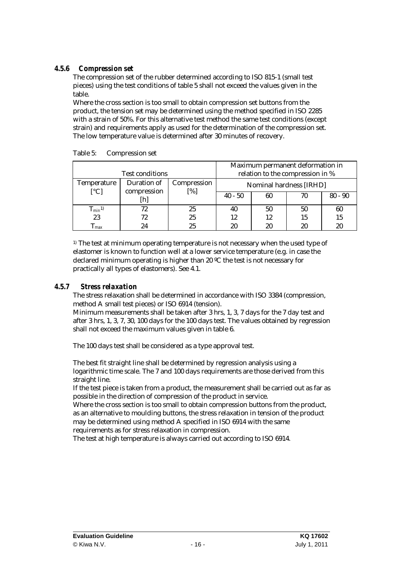### *4.5.6 Compression set*

The compression set of the rubber determined according to ISO 815-1 (small test pieces) using the test conditions of table 5 shall not exceed the values given in the table.

Where the cross section is too small to obtain compression set buttons from the product, the tension set may be determined using the method specified in ISO 2285 with a strain of 50%. For this alternative test method the same test conditions (except strain) and requirements apply as used for the determination of the compression set. The low temperature value is determined after 30 minutes of recovery.

|                                                | <b>Test conditions</b>     |                           |           | Maximum permanent deformation in<br>relation to the compression in % |    |           |
|------------------------------------------------|----------------------------|---------------------------|-----------|----------------------------------------------------------------------|----|-----------|
| <b>Temperature</b><br>$\lceil$ <sup>o</sup> Cl | Duration of<br>compression | <b>Compression</b><br>[%] |           | <b>Nominal hardness [IRHD]</b>                                       |    |           |
|                                                | [h]                        |                           | $40 - 50$ | 60                                                                   | 70 | $80 - 90$ |
| $T_{min}$ <sup>1)</sup>                        | 72                         | 25                        | 40        | 50                                                                   | 50 | 60        |
| 23                                             | 72                         | 25                        | 12        | 12                                                                   | 15 | 15        |
| max                                            | 24                         | 25                        | 20        | 20                                                                   | 20 | 20        |

Table 5: Compression set

 $<sup>1)</sup>$  The test at minimum operating temperature is not necessary when the used type of</sup> elastomer is known to function well at a lower service temperature (e.g. in case the declared minimum operating is higher than 20 ºC the test is not necessary for practically all types of elastomers). See 4.1.

### *4.5.7 Stress relaxation*

The stress relaxation shall be determined in accordance with ISO 3384 (compression, method A small test pieces) or ISO 6914 (tension).

Minimum measurements shall be taken after 3 hrs, 1, 3, 7 days for the 7 day test and after 3 hrs, 1, 3, 7, 30, 100 days for the 100 days test. The values obtained by regression shall not exceed the maximum values given in table 6.

The 100 days test shall be considered as a type approval test.

The best fit straight line shall be determined by regression analysis using a logarithmic time scale. The 7 and 100 days requirements are those derived from this straight line.

If the test piece is taken from a product, the measurement shall be carried out as far as possible in the direction of compression of the product in service.

Where the cross section is too small to obtain compression buttons from the product, as an alternative to moulding buttons, the stress relaxation in tension of the product may be determined using method A specified in ISO 6914 with the same requirements as for stress relaxation in compression.

The test at high temperature is always carried out according to ISO 6914.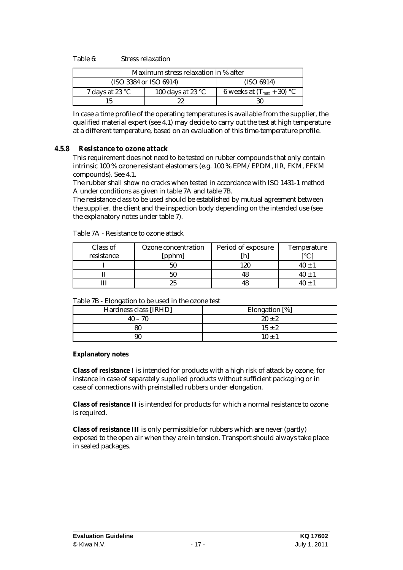Table 6: Stress relaxation

| Maximum stress relaxation in % after                                     |            |                                |  |  |  |
|--------------------------------------------------------------------------|------------|--------------------------------|--|--|--|
| (ISO 3384 or ISO 6914)                                                   | (ISO 6914) |                                |  |  |  |
| 100 days at 23 $\mathrm{^{\circ}C}$<br>7 days at 23 $\mathrm{^{\circ}C}$ |            | 6 weeks at $(T_{max} + 30)$ °C |  |  |  |
| 22                                                                       |            | 30                             |  |  |  |

In case a time profile of the operating temperatures is available from the supplier, the qualified material expert (see 4.1) may decide to carry out the test at high temperature at a different temperature, based on an evaluation of this time-temperature profile.

### *4.5.8 Resistance to ozone attack*

This requirement does not need to be tested on rubber compounds that only contain intrinsic 100 % ozone resistant elastomers (e.g. 100 % EPM/EPDM, IIR, FKM, FFKM compounds). See 4.1.

The rubber shall show no cracks when tested in accordance with ISO 1431-1 method A under conditions as given in table 7A and table 7B.

The resistance class to be used should be established by mutual agreement between the supplier, the client and the inspection body depending on the intended use (see the explanatory notes under table 7).

| Class of   | <b>Ozone</b> concentration | Period of exposure | <b>Temperature</b>            |
|------------|----------------------------|--------------------|-------------------------------|
| resistance | [pphm]                     |                    | $\mathsf{I} \circ \mathsf{C}$ |
|            | 50                         | 120                | 40 +                          |
|            | 50                         |                    |                               |
|            | 25                         |                    |                               |

Table 7A - Resistance to ozone attack

| Table 7B - Elongation to be used in the ozone test |  |
|----------------------------------------------------|--|
|----------------------------------------------------|--|

| Hardness class [IRHD] | Elongation [%] |
|-----------------------|----------------|
| $40 - 70$             | $20 \pm 2$     |
| 80                    | $15 \pm 2$     |
| 90                    | $10 \pm 1$     |

#### **Explanatory notes**

**Class of resistance I** is intended for products with a high risk of attack by ozone, for instance in case of separately supplied products without sufficient packaging or in case of connections with preinstalled rubbers under elongation.

**Class of resistance II** is intended for products for which a normal resistance to ozone is required.

**Class of resistance III** is only permissible for rubbers which are never (partly) exposed to the open air when they are in tension. Transport should always take place in sealed packages.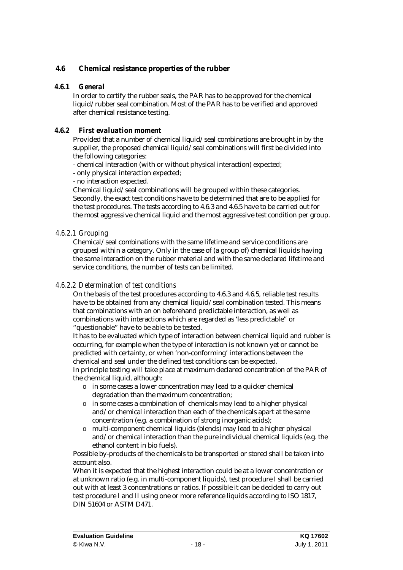### **4.6 Chemical resistance properties of the rubber**

### *4.6.1 General*

In order to certify the rubber seals, the PAR has to be approved for the chemical liquid/rubber seal combination. Most of the PAR has to be verified and approved after chemical resistance testing.

### *4.6.2 First evaluation moment*

Provided that a number of chemical liquid/seal combinations are brought in by the supplier, the proposed chemical liquid/seal combinations will first be divided into the following categories:

- chemical interaction (with or without physical interaction) expected;

- only physical interaction expected;

- no interaction expected.

Chemical liquid/seal combinations will be grouped within these categories. Secondly, the exact test conditions have to be determined that are to be applied for the test procedures. The tests according to 4.6.3 and 4.6.5 have to be carried out for the most aggressive chemical liquid and the most aggressive test condition per group.

### *4.6.2.1 Grouping*

Chemical/seal combinations with the same lifetime and service conditions are grouped within a category. Only in the case of (a group of) chemical liquids having the same interaction on the rubber material and with the same declared lifetime and service conditions, the number of tests can be limited.

### *4.6.2.2 Determination of test conditions*

On the basis of the test procedures according to 4.6.3 and 4.6.5, reliable test results have to be obtained from any chemical liquid/seal combination tested. This means that combinations with an on beforehand predictable interaction, as well as combinations with interactions which are regarded as 'less predictable" or "questionable" have to be able to be tested.

It has to be evaluated which type of interaction between chemical liquid and rubber is occurring, for example when the type of interaction is not known yet or cannot be predicted with certainty, or when 'non-conforming' interactions between the chemical and seal under the defined test conditions can be expected.

In principle testing will take place at maximum declared concentration of the PAR of the chemical liquid, although:

- o in some cases a lower concentration may lead to a quicker chemical degradation than the maximum concentration;
- o in some cases a combination of chemicals may lead to a higher physical and/or chemical interaction than each of the chemicals apart at the same concentration (e.g. a combination of strong inorganic acids);
- o multi-component chemical liquids (blends) may lead to a higher physical and/or chemical interaction than the pure individual chemical liquids (e.g. the ethanol content in bio fuels).

Possible by-products of the chemicals to be transported or stored shall be taken into account also.

When it is expected that the highest interaction could be at a lower concentration or at unknown ratio (e.g. in multi-component liquids), test procedure I shall be carried out with at least 3 concentrations or ratios. If possible it can be decided to carry out test procedure I and II using one or more reference liquids according to ISO 1817, DIN 51604 or ASTM D471.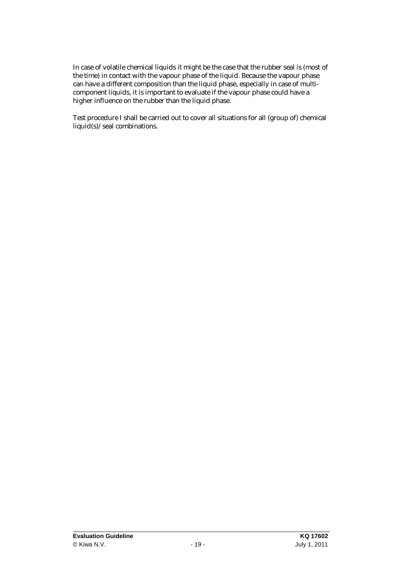In case of volatile chemical liquids it might be the case that the rubber seal is (most of the time) in contact with the vapour phase of the liquid. Because the vapour phase can have a different composition than the liquid phase, especially in case of multicomponent liquids, it is important to evaluate if the vapour phase could have a higher influence on the rubber than the liquid phase.

Test procedure I shall be carried out to cover all situations for all (group of) chemical liquid(s)/seal combinations.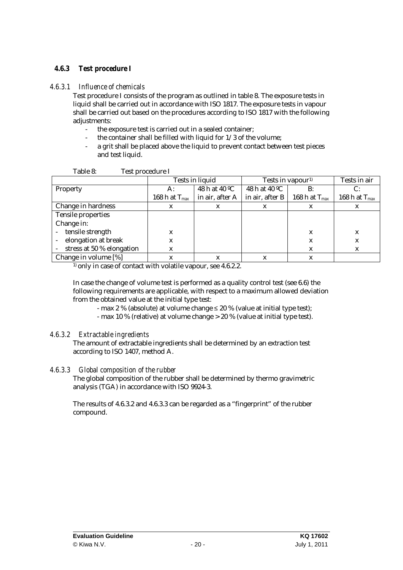### *4.6.3 Test procedure I*

### *4.6.3.1 Influence of chemicals*

Test procedure I consists of the program as outlined in table 8. The exposure tests in liquid shall be carried out in accordance with ISO 1817. The exposure tests in vapour shall be carried out based on the procedures according to ISO 1817 with the following adjustments:

- the exposure test is carried out in a sealed container;
- the container shall be filled with liquid for  $1/3$  of the volume;
- a grit shall be placed above the liquid to prevent contact between test pieces and test liquid.

|                           | <b>Tests in liquid</b> |                 | Tests in vapour <sup>1)</sup> | Tests in air       |                    |
|---------------------------|------------------------|-----------------|-------------------------------|--------------------|--------------------|
| <b>Property</b>           | A:                     | 48 h at 40 °C   | 48 h at 40 °C                 | $\mathbf{B}$ :     | C:                 |
|                           | 168 h at $T_{max}$     | in air, after A | in air, after B               | 168 h at $T_{max}$ | 168 h at $T_{max}$ |
| <b>Change in hardness</b> | X                      | X               | X                             | X                  | X                  |
| <b>Tensile properties</b> |                        |                 |                               |                    |                    |
| Change in:                |                        |                 |                               |                    |                    |
| - tensile strength        | X                      |                 |                               | X                  | X                  |
| elongation at break       | X                      |                 |                               | X                  | X                  |
| stress at 50 % elongation | X                      |                 |                               | X                  | X                  |
| Change in volume [%]      |                        |                 | X                             |                    |                    |

<sup>1)</sup> only in case of contact with volatile vapour, see 4.6.2.2.

In case the change of volume test is performed as a quality control test (see 6.6) the following requirements are applicable, with respect to a maximum allowed deviation from the obtained value at the initial type test:

- max 2 % (absolute) at volume change  $\leq$  20 % (value at initial type test);

- max 10 % (relative) at volume change > 20 % (value at initial type test).

### *4.6.3.2 Extractable ingredients*

The amount of extractable ingredients shall be determined by an extraction test according to ISO 1407, method A.

### *4.6.3.3 Global composition of the rubber*

The global composition of the rubber shall be determined by thermo gravimetric analysis (TGA) in accordance with ISO 9924-3.

The results of 4.6.3.2 and 4.6.3.3 can be regarded as a "fingerprint" of the rubber compound.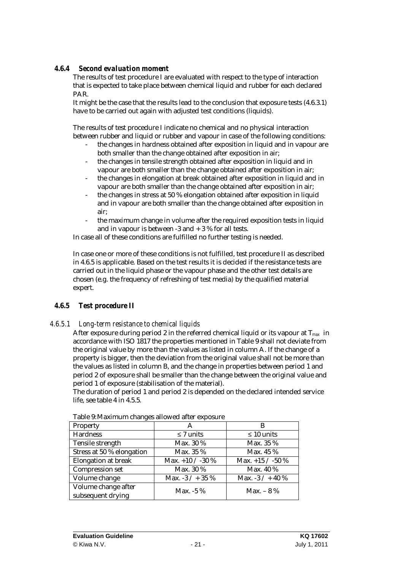### *4.6.4 Second evaluation moment*

The results of test procedure I are evaluated with respect to the type of interaction that is expected to take place between chemical liquid and rubber for each declared PAR.

It might be the case that the results lead to the conclusion that exposure tests (4.6.3.1) have to be carried out again with adjusted test conditions (liquids).

The results of test procedure I indicate no chemical and no physical interaction between rubber and liquid or rubber and vapour in case of the following conditions:

- the changes in hardness obtained after exposition in liquid and in vapour are both smaller than the change obtained after exposition in air;
- the changes in tensile strength obtained after exposition in liquid and in vapour are both smaller than the change obtained after exposition in air;
- the changes in elongation at break obtained after exposition in liquid and in vapour are both smaller than the change obtained after exposition in air;
- the changes in stress at 50 % elongation obtained after exposition in liquid and in vapour are both smaller than the change obtained after exposition in air;
- the maximum change in volume after the required exposition tests in liquid and in vapour is between  $-3$  and  $+3$  % for all tests.

In case all of these conditions are fulfilled no further testing is needed.

In case one or more of these conditions is not fulfilled, test procedure II as described in 4.6.5 is applicable. Based on the test results it is decided if the resistance tests are carried out in the liquid phase or the vapour phase and the other test details are chosen (e.g. the frequency of refreshing of test media) by the qualified material expert.

### *4.6.5 Test procedure II*

### *4.6.5.1 Long-term resistance to chemical liquids*

After exposure during period 2 in the referred chemical liquid or its vapour at T*max* in accordance with ISO 1817 the properties mentioned in Table 9 shall not deviate from the original value by more than the values as listed in column A. If the change of a property is bigger, then the deviation from the original value shall not be more than the values as listed in column B, and the change in properties between period 1 and period 2 of exposure shall be smaller than the change between the original value and period 1 of exposure (stabilisation of the material).

The duration of period 1 and period 2 is depended on the declared intended service life, see table 4 in 4.5.5.

| $\ldots$                                 |                     |                     |  |  |  |  |  |
|------------------------------------------|---------------------|---------------------|--|--|--|--|--|
| <b>Property</b>                          |                     |                     |  |  |  |  |  |
| <b>Hardness</b>                          | $\leq 7$ units      | $\leq 10$ units     |  |  |  |  |  |
| <b>Tensile strength</b>                  | Max. 30 %           | Max. 35 %           |  |  |  |  |  |
| Stress at 50 % elongation                | Max. 35 %           | Max. 45 %           |  |  |  |  |  |
| <b>Elongation at break</b>               | Max. $+10 / -30 \%$ | Max. $+15 / -50 \%$ |  |  |  |  |  |
| <b>Compression set</b>                   | Max. 30 %           | Max. 40 %           |  |  |  |  |  |
| Volume change                            | Max. $-3 / + 35 \%$ | Max. $-3 / + 40 \%$ |  |  |  |  |  |
| Volume change after<br>subsequent drying | Max. $-5\%$         | Max. $-8\%$         |  |  |  |  |  |

Table 9:Maximum changes allowed after exposure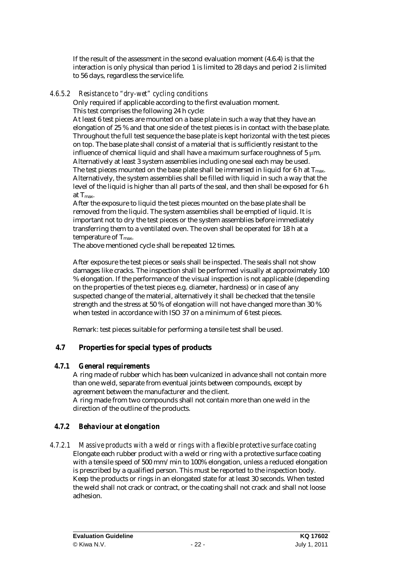If the result of the assessment in the second evaluation moment (4.6.4) is that the interaction is only physical than period 1 is limited to 28 days and period 2 is limited to 56 days, regardless the service life.

### *4.6.5.2 Resistance to "dry-wet" cycling conditions*

Only required if applicable according to the first evaluation moment. This test comprises the following 24 h cycle:

At least 6 test pieces are mounted on a base plate in such a way that they have an elongation of 25 % and that one side of the test pieces is in contact with the base plate. Throughout the full test sequence the base plate is kept horizontal with the test pieces on top. The base plate shall consist of a material that is sufficiently resistant to the influence of chemical liquid and shall have a maximum surface roughness of 5 μm. Alternatively at least 3 system assemblies including one seal each may be used. The test pieces mounted on the base plate shall be immersed in liquid for  $6$  h at  $T_{\text{max}}$ . Alternatively, the system assemblies shall be filled with liquid in such a way that the level of the liquid is higher than all parts of the seal, and then shall be exposed for 6 h at  $T_{\text{max}}$ .

After the exposure to liquid the test pieces mounted on the base plate shall be removed from the liquid. The system assemblies shall be emptied of liquid. It is important not to dry the test pieces or the system assemblies before immediately transferring them to a ventilated oven. The oven shall be operated for 18 h at a temperature of  $T_{\text{max}}$ .

The above mentioned cycle shall be repeated 12 times.

After exposure the test pieces or seals shall be inspected. The seals shall not show damages like cracks. The inspection shall be performed visually at approximately 100 % elongation. If the performance of the visual inspection is not applicable (depending on the properties of the test pieces e.g. diameter, hardness) or in case of any suspected change of the material, alternatively it shall be checked that the tensile strength and the stress at 50 % of elongation will not have changed more than 30 % when tested in accordance with ISO 37 on a minimum of 6 test pieces.

Remark: test pieces suitable for performing a tensile test shall be used.

### **4.7 Properties for special types of products**

### *4.7.1 General requirements*

A ring made of rubber which has been vulcanized in advance shall not contain more than one weld, separate from eventual joints between compounds, except by agreement between the manufacturer and the client.

A ring made from two compounds shall not contain more than one weld in the direction of the outline of the products.

### *4.7.2 Behaviour at elongation*

### *4.7.2.1 Massive products with a weld or rings with a flexible protective surface coating*

Elongate each rubber product with a weld or ring with a protective surface coating with a tensile speed of 500 mm/min to 100% elongation, unless a reduced elongation is prescribed by a qualified person. This must be reported to the inspection body. Keep the products or rings in an elongated state for at least 30 seconds. When tested the weld shall not crack or contract, or the coating shall not crack and shall not loose adhesion.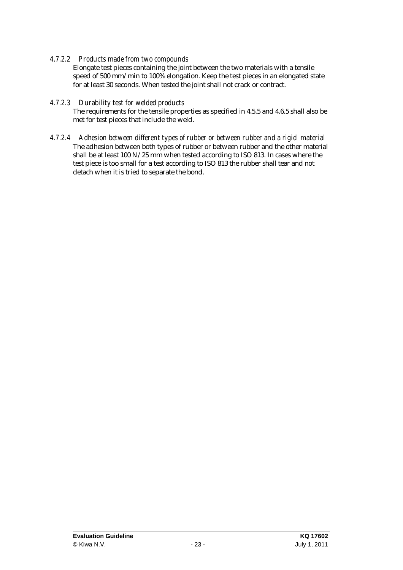### *4.7.2.2 Products made from two compounds*

Elongate test pieces containing the joint between the two materials with a tensile speed of 500 mm/min to 100% elongation. Keep the test pieces in an elongated state for at least 30 seconds. When tested the joint shall not crack or contract.

### *4.7.2.3 Durability test for welded products*

The requirements for the tensile properties as specified in 4.5.5 and 4.6.5 shall also be met for test pieces that include the weld.

### *4.7.2.4 Adhesion between different types of rubber or between rubber and a rigid material*

The adhesion between both types of rubber or between rubber and the other material shall be at least 100 N/25 mm when tested according to ISO 813. In cases where the test piece is too small for a test according to ISO 813 the rubber shall tear and not detach when it is tried to separate the bond.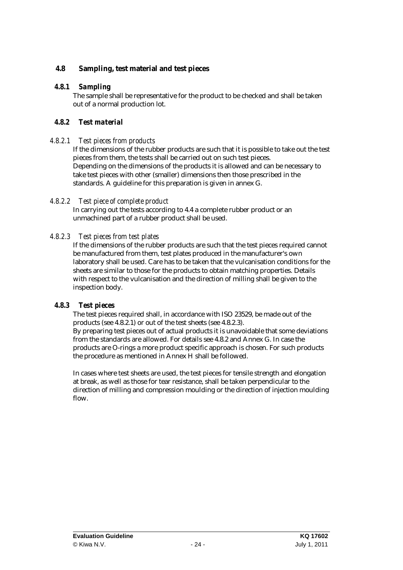### **4.8 Sampling, test material and test pieces**

### *4.8.1 Sampling*

The sample shall be representative for the product to be checked and shall be taken out of a normal production lot.

### *4.8.2 Test material*

### *4.8.2.1 Test pieces from products*

If the dimensions of the rubber products are such that it is possible to take out the test pieces from them, the tests shall be carried out on such test pieces. Depending on the dimensions of the products it is allowed and can be necessary to take test pieces with other (smaller) dimensions then those prescribed in the standards. A guideline for this preparation is given in annex G.

### *4.8.2.2 Test piece of complete product*

In carrying out the tests according to 4.4 a complete rubber product or an unmachined part of a rubber product shall be used.

### *4.8.2.3 Test pieces from test plates*

If the dimensions of the rubber products are such that the test pieces required cannot be manufactured from them, test plates produced in the manufacturer's own laboratory shall be used. Care has to be taken that the vulcanisation conditions for the sheets are similar to those for the products to obtain matching properties. Details with respect to the vulcanisation and the direction of milling shall be given to the inspection body.

### *4.8.3 Test pieces*

The test pieces required shall, in accordance with ISO 23529, be made out of the products (see 4.8.2.1) or out of the test sheets (see 4.8.2.3). By preparing test pieces out of actual products it is unavoidable that some deviations from the standards are allowed. For details see 4.8.2 and Annex G. In case the products are O-rings a more product specific approach is chosen. For such products the procedure as mentioned in Annex H shall be followed.

In cases where test sheets are used, the test pieces for tensile strength and elongation at break, as well as those for tear resistance, shall be taken perpendicular to the direction of milling and compression moulding or the direction of injection moulding flow.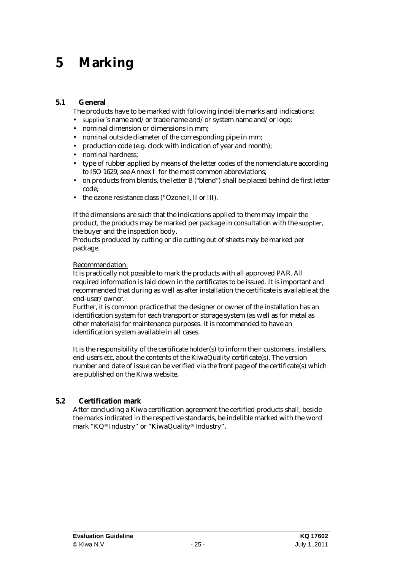### **5 Marking**

### **5.1 General**

The products have to be marked with following indelible marks and indications:

- supplier's name and/or trade name and/or system name and/or logo;
- nominal dimension or dimensions in mm;
- nominal outside diameter of the corresponding pipe in mm;
- production code (e.g. clock with indication of year and month);
- nominal hardness;
- type of rubber applied by means of the letter codes of the nomenclature according to ISO 1629; see Annex I for the most common abbreviations;
- on products from blends, the letter B ("blend") shall be placed behind de first letter code;
- the ozone resistance class ("Ozone I, II or III).

If the dimensions are such that the indications applied to them may impair the product, the products may be marked per package in consultation with the supplier, the buyer and the inspection body.

Products produced by cutting or die cutting out of sheets may be marked per package.

#### Recommendation:

It is practically not possible to mark the products with all approved PAR. All required information is laid down in the certificates to be issued. It is important and recommended that during as well as after installation the certificate is available at the end-user/owner.

Further, it is common practice that the designer or owner of the installation has an identification system for each transport or storage system (as well as for metal as other materials) for maintenance purposes. It is recommended to have an identification system available in all cases.

It is the responsibility of the certificate holder(s) to inform their customers, installers, end-users etc, about the contents of the KiwaQuality certificate(s). The version number and date of issue can be verified via the front page of the certificate(s) which are published on the Kiwa website.

### **5.2 Certification mark**

After concluding a Kiwa certification agreement the certified products shall, beside the marks indicated in the respective standards, be indelible marked with the word mark "KQ® Industry" or "KiwaQuality® Industry".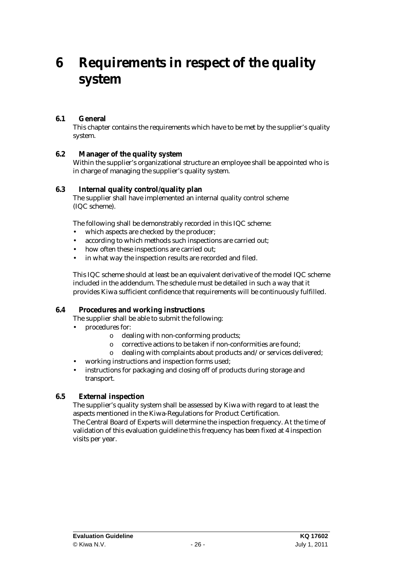### **6 Requirements in respect of the quality system**

### **6.1 General**

This chapter contains the requirements which have to be met by the supplier's quality system.

### **6.2 Manager of the quality system**

Within the supplier's organizational structure an employee shall be appointed who is in charge of managing the supplier's quality system.

### **6.3 Internal quality control/quality plan**

The supplier shall have implemented an internal quality control scheme (IQC scheme).

The following shall be demonstrably recorded in this IQC scheme:

- which aspects are checked by the producer;
- according to which methods such inspections are carried out;
- how often these inspections are carried out:
- in what way the inspection results are recorded and filed.

This IQC scheme should at least be an equivalent derivative of the model IQC scheme included in the addendum. The schedule must be detailed in such a way that it provides Kiwa sufficient confidence that requirements will be continuously fulfilled.

### **6.4 Procedures and working instructions**

The supplier shall be able to submit the following:

- procedures for:
	- o dealing with non-conforming products;
	- o corrective actions to be taken if non-conformities are found;
	- o dealing with complaints about products and/or services delivered;
- working instructions and inspection forms used;
- instructions for packaging and closing off of products during storage and transport.

### **6.5 External inspection**

The supplier's quality system shall be assessed by Kiwa with regard to at least the aspects mentioned in the Kiwa-Regulations for Product Certification. The Central Board of Experts will determine the inspection frequency. At the time of

validation of this evaluation guideline this frequency has been fixed at 4 inspection visits per year.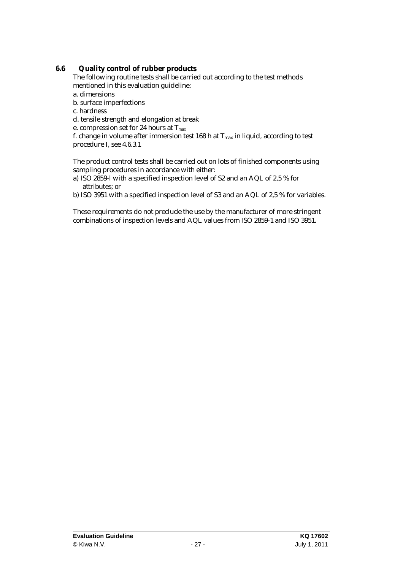### **6.6 Quality control of rubber products**

The following routine tests shall be carried out according to the test methods mentioned in this evaluation guideline:

- a. dimensions
- b. surface imperfections
- c. hardness
- d. tensile strength and elongation at break
- e. compression set for 24 hours at T*max*

f. change in volume after immersion test 168 h at  $T_{max}$  in liquid, according to test procedure I, see 4.6.3.1

The product control tests shall be carried out on lots of finished components using sampling procedures in accordance with either:

- a) ISO 2859-l with a specified inspection level of S2 and an AQL of 2,5 % for attributes; or
- b) ISO 3951 with a specified inspection level of S3 and an AQL of 2,5 % for variables.

These requirements do not preclude the use by the manufacturer of more stringent combinations of inspection levels and AQL values from ISO 2859-1 and ISO 3951.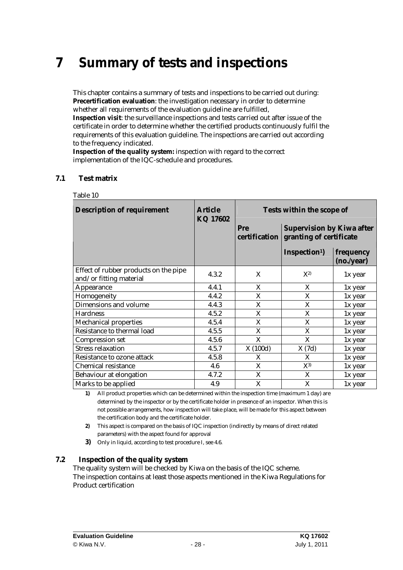### **7 Summary of tests and inspections**

This chapter contains a summary of tests and inspections to be carried out during: **Precertification evaluation**: the investigation necessary in order to determine whether all requirements of the evaluation guideline are fulfilled, **Inspection visit**: the surveillance inspections and tests carried out after issue of the certificate in order to determine whether the certified products continuously fulfil the requirements of this evaluation guideline. The inspections are carried out according to the frequency indicated.

**Inspection of the quality system:** inspection with regard to the correct implementation of the IQC-schedule and procedures.

### **7.1 Test matrix**

| <b>Description of requirement</b>                                | <b>Article</b><br>KQ 17602 | Tests within the scope of                                                           |                           |                         |  |
|------------------------------------------------------------------|----------------------------|-------------------------------------------------------------------------------------|---------------------------|-------------------------|--|
|                                                                  |                            | <b>Supervision by Kiwa after</b><br>Pre<br>granting of certificate<br>certification |                           |                         |  |
|                                                                  |                            |                                                                                     | Inspection <sup>1</sup> ) | frequency<br>(no./year) |  |
| Effect of rubber products on the pipe<br>and/or fitting material | 4.3.2                      | X                                                                                   | $X^{2)}$                  | 1x year                 |  |
| <b>Appearance</b>                                                | 4.4.1                      | X                                                                                   | X                         | 1x year                 |  |
| Homogeneity                                                      | 4.4.2                      | X                                                                                   | X                         | 1x year                 |  |
| <b>Dimensions and volume</b>                                     | 4.4.3                      | X                                                                                   | X                         | 1x year                 |  |
| <b>Hardness</b>                                                  | 4.5.2                      | X                                                                                   | X                         | 1x year                 |  |
| <b>Mechanical properties</b>                                     | 4.5.4                      | X                                                                                   | X                         | 1x year                 |  |
| <b>Resistance to thermal load</b>                                | 4.5.5                      | X                                                                                   | X                         | 1x year                 |  |
| <b>Compression set</b>                                           | 4.5.6                      | X                                                                                   | X                         | 1x year                 |  |
| <b>Stress relaxation</b>                                         | 4.5.7                      | X(100d)                                                                             | X(7d)                     | 1x year                 |  |
| <b>Resistance to ozone attack</b>                                | 4.5.8                      | X                                                                                   | X                         | 1x year                 |  |
| <b>Chemical resistance</b>                                       | 4.6                        | X                                                                                   | $X^{3)}$                  | 1x year                 |  |
| <b>Behaviour at elongation</b>                                   | 4.7.2                      | X                                                                                   | X                         | 1x year                 |  |
| Marks to be applied                                              | 4.9                        | X                                                                                   | X                         | 1x year                 |  |

Table 10

**1)** All product properties which can be determined within the inspection time (maximum 1 day) are determined by the inspector or by the certificate holder in presence of an inspector. When this is not possible arrangements, how inspection will take place, will be made for this aspect between the certification body and the certificate holder.

**2)** This aspect is compared on the basis of IQC inspection (indirectly by means of direct related parameters) with the aspect found for approval

**3)** Only in liquid, according to test procedure I, see 4.6.

### **7.2 Inspection of the quality system**

The quality system will be checked by Kiwa on the basis of the IQC scheme. The inspection contains at least those aspects mentioned in the Kiwa Regulations for Product certification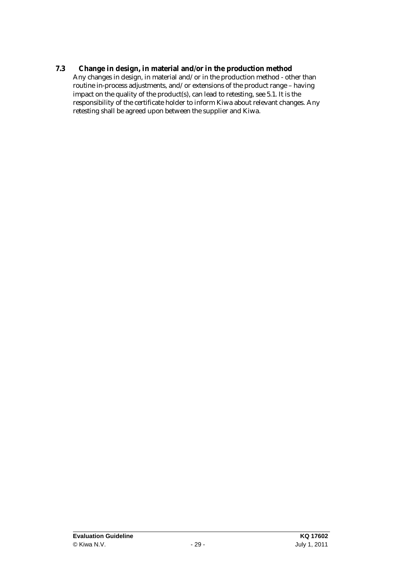**7.3 Change in design, in material and/or in the production method**  Any changes in design, in material and/or in the production method - other than routine in-process adjustments, and/or extensions of the product range – having impact on the quality of the product(s), can lead to retesting, see 5.1. It is the responsibility of the certificate holder to inform Kiwa about relevant changes. Any retesting shall be agreed upon between the supplier and Kiwa.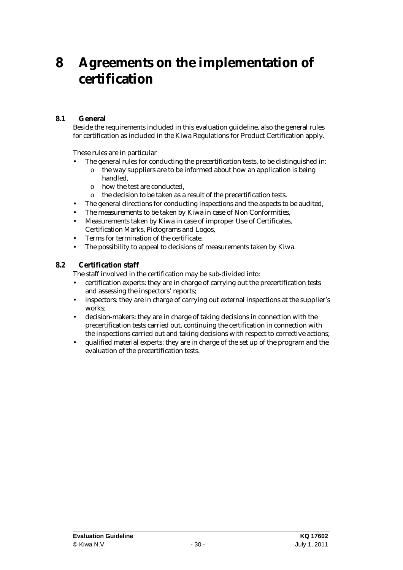### **8 Agreements on the implementation of certification**

### **8.1 General**

Beside the requirements included in this evaluation guideline, also the general rules for certification as included in the Kiwa Regulations for Product Certification apply.

These rules are in particular

- The general rules for conducting the precertification tests, to be distinguished in:
	- o the way suppliers are to be informed about how an application is being handled,
	- o how the test are conducted,
	- o the decision to be taken as a result of the precertification tests.
- The general directions for conducting inspections and the aspects to be audited,
- The measurements to be taken by Kiwa in case of Non Conformities,
- Measurements taken by Kiwa in case of improper Use of Certificates, Certification Marks, Pictograms and Logos,
- Terms for termination of the certificate,
- The possibility to appeal to decisions of measurements taken by Kiwa.

### **8.2 Certification staff**

The staff involved in the certification may be sub-divided into:

- certification experts: they are in charge of carrying out the precertification tests and assessing the inspectors' reports;
- inspectors: they are in charge of carrying out external inspections at the supplier's works;
- decision-makers: they are in charge of taking decisions in connection with the precertification tests carried out, continuing the certification in connection with the inspections carried out and taking decisions with respect to corrective actions;
- qualified material experts: they are in charge of the set up of the program and the evaluation of the precertification tests.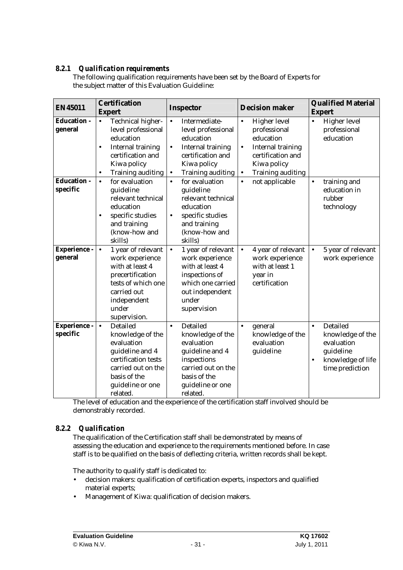### *8.2.1 Qualification requirements*

The following qualification requirements have been set by the Board of Experts for the subject matter of this Evaluation Guideline:

| <b>EN45011</b>                 | <b>Certification</b><br><b>Expert</b>                                                                                                                                                          | Inspector                                                                                                                                                                           | <b>Decision maker</b>                                                                                                                                                               | <b>Qualified Material</b><br><b>Expert</b>                                                                                       |
|--------------------------------|------------------------------------------------------------------------------------------------------------------------------------------------------------------------------------------------|-------------------------------------------------------------------------------------------------------------------------------------------------------------------------------------|-------------------------------------------------------------------------------------------------------------------------------------------------------------------------------------|----------------------------------------------------------------------------------------------------------------------------------|
| <b>Education -</b><br>general  | <b>Technical higher-</b><br>$\bullet$<br>level professional<br>education<br><b>Internal training</b><br>$\bullet$<br>certification and<br>Kiwa policy<br><b>Training auditing</b><br>$\bullet$ | Intermediate-<br>$\bullet$<br>level professional<br>education<br><b>Internal training</b><br>$\bullet$<br>certification and<br>Kiwa policy<br><b>Training auditing</b><br>$\bullet$ | <b>Higher level</b><br>$\bullet$<br>professional<br>education<br><b>Internal training</b><br>$\bullet$<br>certification and<br>Kiwa policy<br><b>Training auditing</b><br>$\bullet$ | <b>Higher level</b><br>$\bullet$<br>professional<br>education                                                                    |
| <b>Education -</b><br>specific | for evaluation<br>$\bullet$<br>guideline<br>relevant technical<br>education<br>specific studies<br>$\bullet$<br>and training<br>(know-how and<br>skills)                                       | for evaluation<br>$\bullet$<br>guideline<br>relevant technical<br>education<br>specific studies<br>$\bullet$<br>and training<br>(know-how and<br>skills)                            | not applicable<br>$\bullet$                                                                                                                                                         | training and<br>$\bullet$<br>education in<br>rubber<br>technology                                                                |
| Experience -<br>general        | 1 year of relevant<br>$\bullet$<br>work experience<br>with at least 4<br>precertification<br>tests of which one<br>carried out<br>independent<br>under<br>supervision.                         | 1 year of relevant<br>$\bullet$<br>work experience<br>with at least 4<br>inspections of<br>which one carried<br>out independent<br>under<br>supervision                             | 4 year of relevant<br>$\bullet$<br>work experience<br>with at least 1<br>year in<br>certification                                                                                   | 5 year of relevant<br>$\bullet$<br>work experience                                                                               |
| Experience -<br>specific       | <b>Detailed</b><br>$\bullet$<br>knowledge of the<br>evaluation<br>guideline and 4<br>certification tests<br>carried out on the<br>basis of the<br>guideline or one<br>related.                 | <b>Detailed</b><br>$\bullet$<br>knowledge of the<br>evaluation<br>guideline and 4<br>inspections<br>carried out on the<br>basis of the<br>guideline or one<br>related.              | general<br>$\bullet$<br>knowledge of the<br>evaluation<br>guideline                                                                                                                 | <b>Detailed</b><br>$\bullet$<br>knowledge of the<br>evaluation<br>guideline<br>knowledge of life<br>$\bullet$<br>time prediction |

The level of education and the experience of the certification staff involved should be demonstrably recorded.

### *8.2.2 Qualification*

The qualification of the Certification staff shall be demonstrated by means of assessing the education and experience to the requirements mentioned before. In case staff is to be qualified on the basis of deflecting criteria, written records shall be kept.

The authority to qualify staff is dedicated to:

- decision makers: qualification of certification experts, inspectors and qualified material experts;
- Management of Kiwa: qualification of decision makers.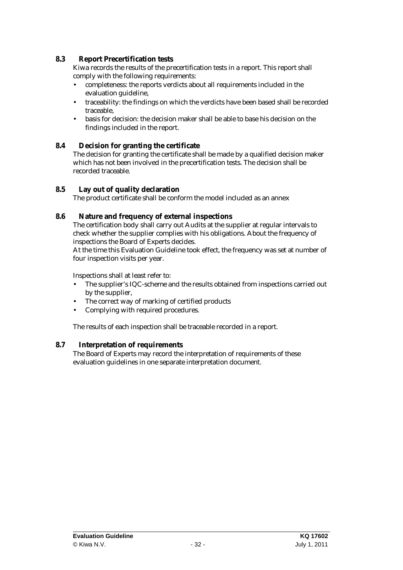### **8.3 Report Precertification tests**

Kiwa records the results of the precertification tests in a report. This report shall comply with the following requirements:

- completeness: the reports verdicts about all requirements included in the evaluation guideline,
- traceability: the findings on which the verdicts have been based shall be recorded traceable,
- basis for decision: the decision maker shall be able to base his decision on the findings included in the report.

### **8.4 Decision for granting the certificate**

The decision for granting the certificate shall be made by a qualified decision maker which has not been involved in the precertification tests. The decision shall be recorded traceable.

### **8.5 Lay out of quality declaration**

The product certificate shall be conform the model included as an annex

### **8.6 Nature and frequency of external inspections**

The certification body shall carry out Audits at the supplier at regular intervals to check whether the supplier complies with his obligations. About the frequency of inspections the Board of Experts decides.

At the time this Evaluation Guideline took effect, the frequency was set at number of four inspection visits per year.

Inspections shall at least refer to:

- The supplier's IQC-scheme and the results obtained from inspections carried out by the supplier,
- The correct way of marking of certified products
- Complying with required procedures.

The results of each inspection shall be traceable recorded in a report.

#### **8.7 Interpretation of requirements**

The Board of Experts may record the interpretation of requirements of these evaluation guidelines in one separate interpretation document.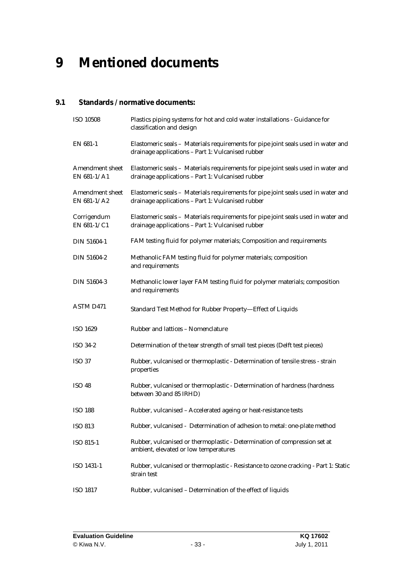### **9 Mentioned documents**

### **9.1 Standards / normative documents:**

| <b>ISO 10508</b>                        | Plastics piping systems for hot and cold water installations - Guidance for<br>classification and design                               |
|-----------------------------------------|----------------------------------------------------------------------------------------------------------------------------------------|
| EN 681-1                                | Elastomeric seals - Materials requirements for pipe joint seals used in water and<br>drainage applications - Part 1: Vulcanised rubber |
| <b>Amendment sheet</b><br>EN $681-1/A1$ | Elastomeric seals - Materials requirements for pipe joint seals used in water and<br>drainage applications - Part 1: Vulcanised rubber |
| <b>Amendment sheet</b><br>EN 681-1/A2   | Elastomeric seals - Materials requirements for pipe joint seals used in water and<br>drainage applications - Part 1: Vulcanised rubber |
| Corrigendum<br>EN 681-1/C1              | Elastomeric seals - Materials requirements for pipe joint seals used in water and<br>drainage applications - Part 1: Vulcanised rubber |
| <b>DIN 51604-1</b>                      | FAM testing fluid for polymer materials; Composition and requirements                                                                  |
| <b>DIN 51604-2</b>                      | Methanolic FAM testing fluid for polymer materials; composition<br>and requirements                                                    |
| <b>DIN 51604-3</b>                      | Methanolic lower layer FAM testing fluid for polymer materials; composition<br>and requirements                                        |
| <b>ASTM D471</b>                        | Standard Test Method for Rubber Property-Effect of Liquids                                                                             |
| <b>ISO 1629</b>                         | <b>Rubber and lattices - Nomenclature</b>                                                                                              |
| <b>ISO 34-2</b>                         | Determination of the tear strength of small test pieces (Delft test pieces)                                                            |
| <b>ISO 37</b>                           | Rubber, vulcanised or thermoplastic - Determination of tensile stress - strain<br>properties                                           |
| <b>ISO 48</b>                           | Rubber, vulcanised or thermoplastic - Determination of hardness (hardness<br>between 30 and 85 IRHD)                                   |
| <b>ISO 188</b>                          | Rubber, vulcanised - Accelerated ageing or heat-resistance tests                                                                       |
| <b>ISO 813</b>                          | Rubber, vulcanised - Determination of adhesion to metal: one-plate method                                                              |
| <b>ISO 815-1</b>                        | Rubber, vulcanised or thermoplastic - Determination of compression set at<br>ambient, elevated or low temperatures                     |
| ISO 1431-1                              | Rubber, vulcanised or thermoplastic - Resistance to ozone cracking - Part 1: Static<br>strain test                                     |
| <b>ISO 1817</b>                         | Rubber, vulcanised - Determination of the effect of liquids                                                                            |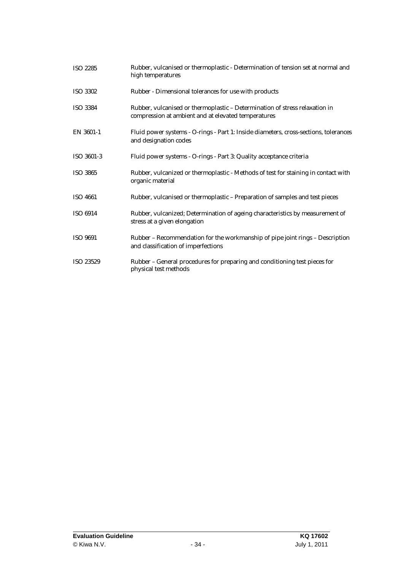| <b>ISO 2285</b>  | Rubber, vulcanised or thermoplastic - Determination of tension set at normal and<br>high temperatures                              |
|------------------|------------------------------------------------------------------------------------------------------------------------------------|
| <b>ISO 3302</b>  | Rubber - Dimensional tolerances for use with products                                                                              |
| <b>ISO 3384</b>  | Rubber, vulcanised or thermoplastic - Determination of stress relaxation in<br>compression at ambient and at elevated temperatures |
| EN 3601-1        | Fluid power systems - O-rings - Part 1: Inside diameters, cross-sections, tolerances<br>and designation codes                      |
| ISO 3601-3       | Fluid power systems - O-rings - Part 3: Quality acceptance criteria                                                                |
| <b>ISO 3865</b>  | Rubber, vulcanized or thermoplastic - Methods of test for staining in contact with<br>organic material                             |
| <b>ISO 4661</b>  | Rubber, vulcanised or thermoplastic - Preparation of samples and test pieces                                                       |
| <b>ISO 6914</b>  | Rubber, vulcanized; Determination of ageing characteristics by measurement of<br>stress at a given elongation                      |
| <b>ISO 9691</b>  | Rubber – Recommendation for the workmanship of pipe joint rings – Description<br>and classification of imperfections               |
| <b>ISO 23529</b> | Rubber - General procedures for preparing and conditioning test pieces for<br>physical test methods                                |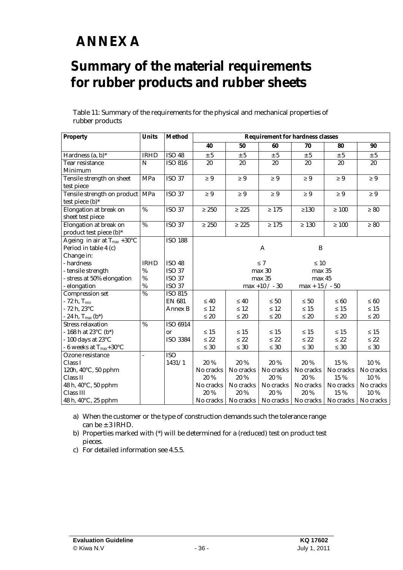## **ANNEX A**

### **Summary of the material requirements for rubber products and rubber sheets**

Table 11: Summary of the requirements for the physical and mechanical properties of rubber products

| <b>Property</b>                     | Units           | <b>Method</b>   | <b>Requirement for hardness classes</b> |            |                                                                       |                   |            |           |
|-------------------------------------|-----------------|-----------------|-----------------------------------------|------------|-----------------------------------------------------------------------|-------------------|------------|-----------|
|                                     |                 |                 | 40                                      | 50         | 60                                                                    | 70                | 80         | 90        |
| Hardness $(a, b)^*$                 | <b>IRHD</b>     | <b>ISO 48</b>   | $\pm$ 5                                 | $\pm~5$    | ± 5                                                                   | ± 5               | ± 5        | $\pm$ 5   |
| <b>Tear resistance</b>              | $\mathbf N$     | <b>ISO 816</b>  | 20                                      | 20         | 20                                                                    | 20                | 20         | 20        |
| Minimum                             |                 |                 |                                         |            |                                                                       |                   |            |           |
| Tensile strength on sheet           | <b>MPa</b>      | <b>ISO 37</b>   | $\geq 9$                                | $\geq 9$   | $\geq 9$                                                              | $\geq 9$          | $\geq 9$   | $\geq 9$  |
| test piece                          |                 |                 |                                         |            |                                                                       |                   |            |           |
| Tensile strength on product   MPa   |                 | <b>ISO 37</b>   | $\geq 9$                                | $\geq 9$   | $\geq 9$                                                              | $\geq 9$          | $\geq 9$   | $\geq 9$  |
| test piece (b)*                     |                 |                 |                                         |            |                                                                       |                   |            |           |
| <b>Elongation at break on</b>       | $\overline{\%}$ | $ISO$ 37        | $\geq 250$                              | $\geq 225$ | $\geq 175$                                                            | $\geq$ 130        | $\geq 100$ | $\geq 80$ |
| sheet test piece                    |                 |                 |                                         |            |                                                                       |                   |            |           |
| <b>Elongation at break on</b>       | %               | <b>ISO 37</b>   | $\geq 250$                              | $\geq 225$ | $\geq 175$                                                            | $\geq 130$        | $\geq 100$ | $\geq 80$ |
| product test piece (b)*             |                 |                 |                                         |            |                                                                       |                   |            |           |
| Ageing in air at $T_{max}$ +30°C    |                 | <b>ISO 188</b>  |                                         |            |                                                                       |                   |            |           |
| Period in table 4 (c)               |                 |                 |                                         |            | A                                                                     | B                 |            |           |
| Change in:                          |                 |                 |                                         |            |                                                                       |                   |            |           |
| - hardness                          | <b>IRHD</b>     | <b>ISO 48</b>   |                                         |            | $\leq 7$                                                              | $\leq 10$         |            |           |
| - tensile strength                  | %               | <b>ISO 37</b>   |                                         |            | max 30                                                                | max 35            |            |           |
| - stress at 50% elongation          | $\%$            | <b>ISO 37</b>   |                                         |            | max 35                                                                | max 45            |            |           |
| - elongation                        | $\%$            | <b>ISO 37</b>   |                                         |            | $max +10 / -30$                                                       | $max + 15 / - 50$ |            |           |
| <b>Compression set</b>              | %               | <b>ISO 815</b>  |                                         |            |                                                                       |                   |            |           |
| $-72$ h, $T_{min}$                  |                 | <b>EN 681</b>   | $\leq 40$                               | $\leq 40$  | $\leq 50$                                                             | $\leq 50$         | $\leq 60$  | $\leq 60$ |
| $-72 h, 23°C$                       |                 | <b>Annex B</b>  | $\leq 12$                               | $\leq 12$  | $\leq 12$                                                             | $\leq 15$         | $\leq 15$  | $\leq 15$ |
| - 24 h, $T_{max}(b^*)$              |                 |                 | $\leq 20$                               | $\leq 20$  | $\leq 20$                                                             | $\leq 20$         | $\leq 20$  | $\leq 20$ |
| <b>Stress relaxation</b>            | %               | <b>ISO 6914</b> |                                         |            |                                                                       |                   |            |           |
| - 168 h at 23 $^{\circ}$ C (b*)     |                 | or              | $\leq 15$                               | $\leq 15$  | $\leq 15$                                                             | $\leq 15$         | $\leq 15$  | $\leq 15$ |
| $-100$ days at $23^{\circ}$ C       |                 | <b>ISO 3384</b> | $\leq 22$                               | $\leq 22$  | $\leq$ 22                                                             | $\leq$ 22         | $\leq 22$  | $\leq 22$ |
| - 6 weeks at T <sub>max</sub> +30°C |                 |                 | $\leq 30$                               | $\leq 30$  | $\leq 30$                                                             | $\leq 30$         | $\leq 30$  | $\leq 30$ |
| Ozone resistance                    | L.              | <b>ISO</b>      |                                         |            |                                                                       |                   |            |           |
| Class I                             |                 | 1431/1          | 20 %                                    | 20 %       | 20 %                                                                  | 20 %              | 15 %       | 10 %      |
| 120h, 40°C, 50 pphm                 |                 |                 | No cracks                               | No cracks  | No cracks                                                             | No cracks         | No cracks  | No cracks |
| <b>Class II</b>                     |                 |                 | 20%                                     | 20%        | 20 %                                                                  | 20 %              | 15 %       | 10 %      |
| 48 h, 40°C, 50 pphm                 |                 |                 | No cracks                               | No cracks  | No cracks                                                             | No cracks         | No cracks  | No cracks |
| Class III                           |                 |                 | 20%                                     | $20\,\%$   | 20 %                                                                  | 20 %              | 15 %       | 10 %      |
| 48 h, 40°C, 25 pphm                 |                 |                 |                                         |            | No cracks   No cracks   No cracks   No cracks   No cracks   No cracks |                   |            |           |

a) When the customer or the type of construction demands such the tolerance range can be ± 3 IRHD.

b) Properties marked with (\*) will be determined for a (reduced) test on product test pieces.

c) For detailed information see 4.5.5.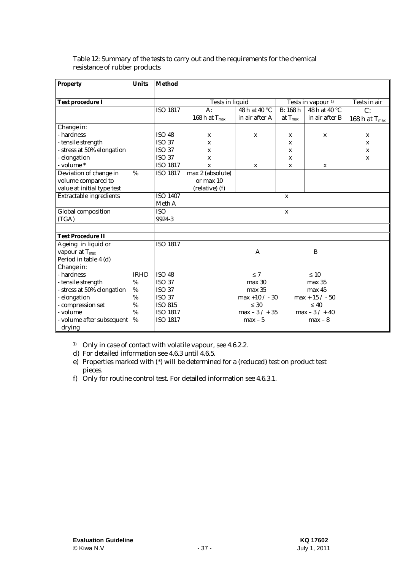| <b>Property</b>                | <b>Units</b> | <b>Method</b>   |                        |                   |              |                               |                    |
|--------------------------------|--------------|-----------------|------------------------|-------------------|--------------|-------------------------------|--------------------|
| <b>Test procedure I</b>        |              |                 | <b>Tests in liquid</b> |                   |              | Tests in vapour <sup>1)</sup> | Tests in air       |
|                                |              | <b>ISO 1817</b> | $A$ :                  | 48 h at 40 °C     | B: 168h      | 48 h at 40 °C                 | C:                 |
|                                |              |                 | 168 h at $T_{max}$     | in air after A    | at $T_{max}$ | in air after B                | 168 h at $T_{max}$ |
| Change in:                     |              |                 |                        |                   |              |                               |                    |
| - hardness                     |              | <b>ISO 48</b>   | $\mathbf{x}$           | $\mathbf x$       | $\mathbf x$  | X                             | $\mathbf{x}$       |
| - tensile strength             |              | <b>ISO 37</b>   | X                      |                   | X            |                               | $\mathbf{x}$       |
| - stress at 50% elongation     |              | <b>ISO 37</b>   | X                      |                   | X            |                               | $\mathbf{x}$       |
| - elongation                   |              | <b>ISO 37</b>   | X                      |                   | X            |                               | $\mathbf x$        |
| - volume *                     |              | <b>ISO 1817</b> | $\mathbf x$            | $\mathbf x$       | X            | X                             |                    |
| Deviation of change in         | %            | <b>ISO 1817</b> | max 2 (absolute)       |                   |              |                               |                    |
| volume compared to             |              |                 | or max 10              |                   |              |                               |                    |
| value at initial type test     |              |                 | (relative) (f)         |                   |              |                               |                    |
| <b>Extractable ingredients</b> |              | <b>ISO 1407</b> |                        |                   | $\mathbf{x}$ |                               |                    |
|                                |              | Meth A          |                        |                   |              |                               |                    |
| <b>Global</b> composition      |              | <b>ISO</b>      |                        |                   | $\mathbf{x}$ |                               |                    |
| (TGA)                          |              | 9924-3          |                        |                   |              |                               |                    |
|                                |              |                 |                        |                   |              |                               |                    |
| <b>Test Procedure II</b>       |              |                 |                        |                   |              |                               |                    |
| Ageing in liquid or            |              | <b>ISO 1817</b> |                        |                   |              |                               |                    |
| vapour at $T_{max}$            |              |                 |                        | A                 |              | B                             |                    |
| Period in table 4 (d)          |              |                 |                        |                   |              |                               |                    |
| Change in:                     |              |                 |                        |                   |              |                               |                    |
| - hardness                     | <b>IRHD</b>  | <b>ISO 48</b>   |                        | $\leq 7$          |              | $\leq 10$                     |                    |
| - tensile strength             | %            | <b>ISO 37</b>   |                        | max <sub>30</sub> |              | max 35                        |                    |
| - stress at 50% elongation     | %            | <b>ISO 37</b>   |                        | max 35            |              | max 45                        |                    |
| - elongation                   | %            | <b>ISO 37</b>   |                        | $max +10 / -30$   |              | $max + 15 / - 50$             |                    |
| - compression set              | %            | <b>ISO 815</b>  |                        | $\leq 30$         |              | < 40                          |                    |
| - volume                       | %            | <b>ISO 1817</b> |                        | $max - 3 / + 35$  |              | $max - 3 / + 40$              |                    |
| - volume after subsequent      | %            | <b>ISO 1817</b> |                        | $max - 5$         |              | $max - 8$                     |                    |
| drying                         |              |                 |                        |                   |              |                               |                    |

### Table 12: Summary of the tests to carry out and the requirements for the chemical resistance of rubber products

<sup>1)</sup> Only in case of contact with volatile vapour, see 4.6.2.2.

d) For detailed information see 4.6.3 until 4.6.5.

e) Properties marked with (\*) will be determined for a (reduced) test on product test pieces.

f) Only for routine control test. For detailed information see 4.6.3.1.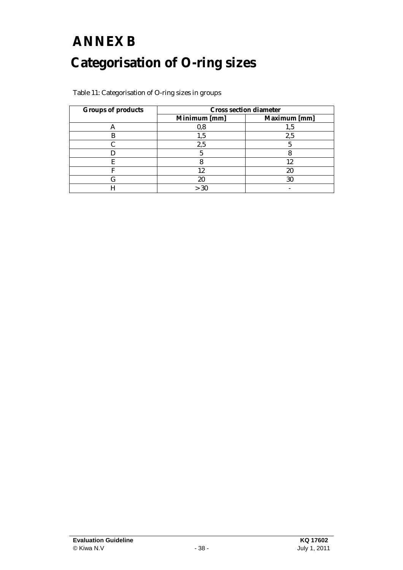# **ANNEX B Categorisation of O-ring sizes**

| <b>Groups of products</b> | <b>Cross section diameter</b> |              |  |  |  |
|---------------------------|-------------------------------|--------------|--|--|--|
|                           | Minimum [mm]                  | Maximum [mm] |  |  |  |
|                           |                               |              |  |  |  |
|                           |                               | $2.5\,$      |  |  |  |
|                           | $_{2,5}$                      |              |  |  |  |
|                           |                               |              |  |  |  |
| E                         |                               |              |  |  |  |
|                           | 19.                           | 20           |  |  |  |
|                           |                               | 30           |  |  |  |
|                           | >30                           |              |  |  |  |

Table 11: Categorisation of O-ring sizes in groups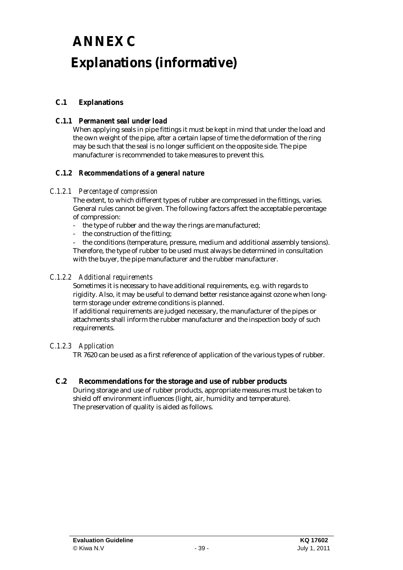# **ANNEX C Explanations (informative)**

### **C.1 Explanations**

### *C.1.1 Permanent seal under load*

When applying seals in pipe fittings it must be kept in mind that under the load and the own weight of the pipe, after a certain lapse of time the deformation of the ring may be such that the seal is no longer sufficient on the opposite side. The pipe manufacturer is recommended to take measures to prevent this.

### *C.1.2 Recommendations of a general nature*

### *C.1.2.1 Percentage of compression*

The extent, to which different types of rubber are compressed in the fittings, varies. General rules cannot be given. The following factors affect the acceptable percentage of compression:

- the type of rubber and the way the rings are manufactured;
- the construction of the fitting;

the conditions (temperature, pressure, medium and additional assembly tensions). Therefore, the type of rubber to be used must always be determined in consultation with the buyer, the pipe manufacturer and the rubber manufacturer.

### *C.1.2.2 Additional requirements*

Sometimes it is necessary to have additional requirements, e.g. with regards to rigidity. Also, it may be useful to demand better resistance against ozone when longterm storage under extreme conditions is planned.

If additional requirements are judged necessary, the manufacturer of the pipes or attachments shall inform the rubber manufacturer and the inspection body of such requirements.

### *C.1.2.3 Application*

TR 7620 can be used as a first reference of application of the various types of rubber.

### **C.2 Recommendations for the storage and use of rubber products**  During storage and use of rubber products, appropriate measures must be taken to shield off environment influences (light, air, humidity and temperature).

The preservation of quality is aided as follows.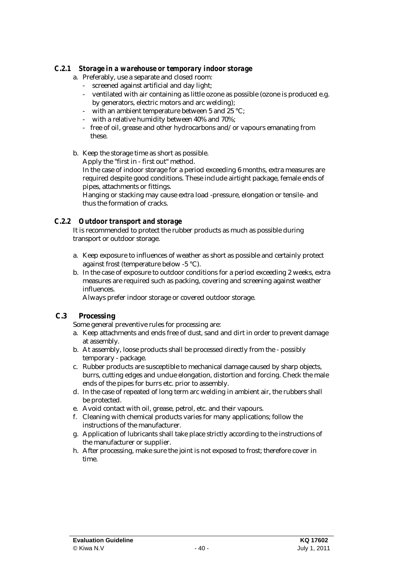### *C.2.1 Storage in a warehouse or temporary indoor storage*

- a. Preferably, use a separate and closed room:
	- screened against artificial and day light;
	- ventilated with air containing as little ozone as possible (ozone is produced e.g. by generators, electric motors and arc welding);
	- with an ambient temperature between 5 and 25 °C;
	- with a relative humidity between 40% and 70%;
	- free of oil, grease and other hydrocarbons and/or vapours emanating from these.
- b. Keep the storage time as short as possible. Apply the "first in - first out" method.

In the case of indoor storage for a period exceeding 6 months, extra measures are required despite good conditions. These include airtight package, female ends of pipes, attachments or fittings.

Hanging or stacking may cause extra load -pressure, elongation or tensile- and thus the formation of cracks.

### *C.2.2 Outdoor transport and storage*

It is recommended to protect the rubber products as much as possible during transport or outdoor storage.

- a. Keep exposure to influences of weather as short as possible and certainly protect against frost (temperature below -5 °C).
- b. In the case of exposure to outdoor conditions for a period exceeding 2 weeks, extra measures are required such as packing, covering and screening against weather influences.

Always prefer indoor storage or covered outdoor storage.

### **C.3 Processing**

Some general preventive rules for processing are:

- a. Keep attachments and ends free of dust, sand and dirt in order to prevent damage at assembly.
- b. At assembly, loose products shall be processed directly from the possibly temporary - package.
- c. Rubber products are susceptible to mechanical damage caused by sharp objects, burrs, cutting edges and undue elongation, distortion and forcing. Check the male ends of the pipes for burrs etc. prior to assembly.
- d. In the case of repeated of long term arc welding in ambient air, the rubbers shall be protected.
- e. Avoid contact with oil, grease, petrol, etc. and their vapours.
- f. Cleaning with chemical products varies for many applications; follow the instructions of the manufacturer.
- g. Application of lubricants shall take place strictly according to the instructions of the manufacturer or supplier.
- h. After processing, make sure the joint is not exposed to frost; therefore cover in time.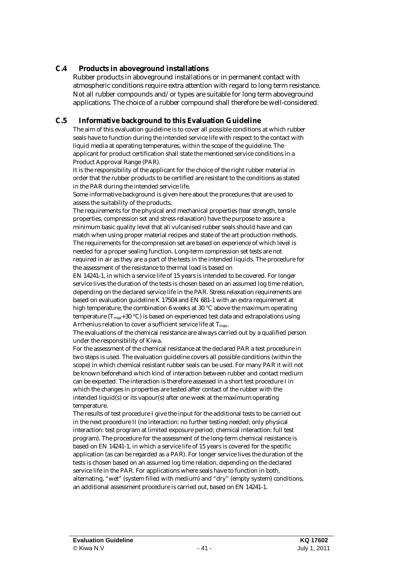### **C.4 Products in aboveground installations**

Rubber products in aboveground installations or in permanent contact with atmospheric conditions require extra attention with regard to long term resistance. Not all rubber compounds and/or types are suitable for long term aboveground applications. The choice of a rubber compound shall therefore be well-considered.

### **C.5 Informative background to this Evaluation Guideline**

The aim of this evaluation guideline is to cover all possible conditions at which rubber seals have to function during the intended service life with respect to the contact with liquid media at operating temperatures, within the scope of the guideline. The applicant for product certification shall state the mentioned service conditions in a Product Approval Range (PAR).

It is the responsibility of the applicant for the choice of the right rubber material in order that the rubber products to be certified are resistant to the conditions as stated in the PAR during the intended service life.

Some informative background is given here about the procedures that are used to assess the suitability of the products.

The requirements for the physical and mechanical properties (tear strength, tensile properties, compression set and stress relaxation) have the purpose to assure a minimum basic quality level that all vulcanised rubber seals should have and can match when using proper material recipes and state of the art production methods. The requirements for the compression set are based on experience of which level is needed for a proper sealing function. Long-term compression set tests are not required in air as they are a part of the tests in the intended liquids. The procedure for the assessment of the resistance to thermal load is based on

EN 14241-1, in which a service life of 15 years is intended to be covered. For longer service lives the duration of the tests is chosen based on an assumed log time relation, depending on the declared service life in the PAR. Stress relaxation requirements are based on evaluation guideline K 17504 and EN 681-1 with an extra requirement at high temperature; the combination 6 weeks at 30 °C above the maximum operating temperature ( $T_{\text{max}}+30$  °C) is based on experienced test data and extrapolations using Arrhenius relation to cover a sufficient service life at  $T_{\text{max}}$ .

The evaluations of the chemical resistance are always carried out by a qualified person under the responsibility of Kiwa.

For the assessment of the chemical resistance at the declared PAR a test procedure in two steps is used. The evaluation guideline covers all possible conditions (within the scope) in which chemical resistant rubber seals can be used. For many PAR it will not be known beforehand which kind of interaction between rubber and contact medium can be expected. The interaction is therefore assessed in a short test procedure I in which the changes in properties are tested after contact of the rubber with the intended liquid(s) or its vapour(s) after one week at the maximum operating temperature.

The results of test procedure I give the input for the additional tests to be carried out in the next procedure II (no interaction: no further testing needed; only physical interaction: test program at limited exposure period; chemical interaction: full test program). The procedure for the assessment of the long-term chemical resistance is based on EN 14241-1, in which a service life of 15 years is covered for the specific application (as can be regarded as a PAR). For longer service lives the duration of the tests is chosen based on an assumed log time relation, depending on the declared service life in the PAR. For applications where seals have to function in both, alternating, "wet" (system filled with medium) and "dry" (empty system) conditions, an additional assessment procedure is carried out, based on EN 14241-1.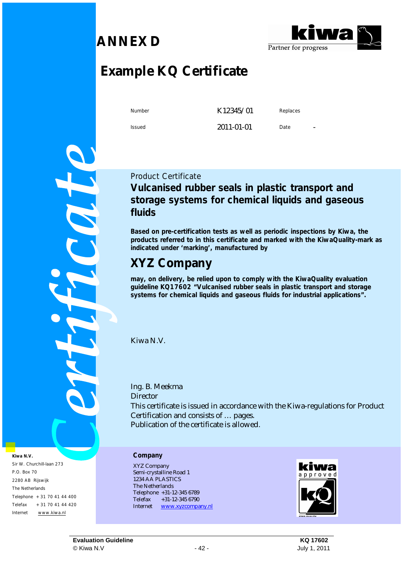### **ANNEX D**



## **Example KQ Certificate**

Number **K12345/01** Replaces

Issued 2011-01-01 Date

COL

**Kiwa N.V. Company** Sir W. Churchill-laan 273 P.O. Box 70 2280 AB Rijswijk The Netherlands Telephone +31 70 41 44 400 Telefax +31 70 41 44 420 Internet [www.kiwa.nl](http://www.kiwa.nl)

### Product Certificate **Vulcanised rubber seals in plastic transport and storage systems for chemical liquids and gaseous fluids**

**Based on pre-certification tests as well as periodic inspections by Kiwa, the products referred to in this certificate and marked with the KiwaQuality-mark as indicated under 'marking', manufactured by** 

### **XYZ Company**

**may, on delivery, be relied upon to comply with the KiwaQuality evaluation guideline KQ17602 "Vulcanised rubber seals in plastic transport and storage systems for chemical liquids and gaseous fluids for industrial applications".** 

Kiwa N.V.

Ing. B. Meekma **Director** This certificate is issued in accordance with the Kiwa-regulations for Product Certification and consists of … pages. Publication of the certificate is allowed.

XYZ Company Semi-crystalline Road 1 1234 AA PLASTICS The Netherlands Telephone +31-12-345 6789 Telefax +31-12-345 6790 Internet [www.xyzcompany.nl](http://www.xyzcompany.nl)



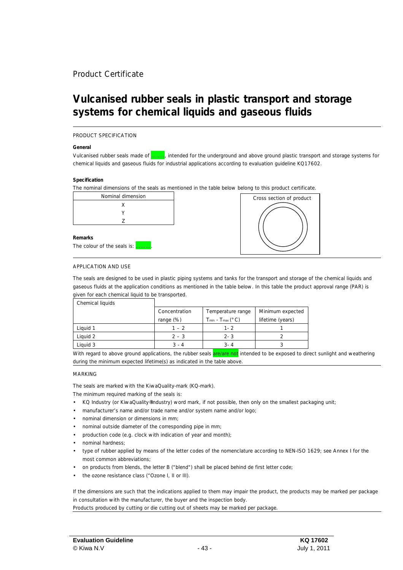### Product Certificate

### **Vulcanised rubber seals in plastic transport and storage systems for chemical liquids and gaseous fluids**

#### PRODUCT SPECIFICATION

#### **General**

Vulcanised rubber seals made of …….., intended for the underground and above ground plastic transport and storage systems for chemical liquids and gaseous fluids for industrial applications according to evaluation guideline KQ17602.

#### **Specification**

The nominal dimensions of the seals as mentioned in the table below belong to this product certificate.

| Nominal dimension           |  |
|-----------------------------|--|
| x                           |  |
|                             |  |
| 7                           |  |
|                             |  |
| Remarks                     |  |
| The colour of the seals is: |  |



#### APPLICATION AND USE

The seals are designed to be used in plastic piping systems and tanks for the transport and storage of the chemical liquids and gaseous fluids at the application conditions as mentioned in the table below. In this table the product approval range (PAR) is given for each chemical liquid to be transported.

| Chemical liquids |               |                           |                  |
|------------------|---------------|---------------------------|------------------|
|                  | Concentration | Temperature range         | Minimum expected |
|                  | range $(\%)$  | $T_{min}$ - $T_{max}(°C)$ | lifetime (years) |
| Liquid 1         | $1 - 2$       | $1 - 2$                   |                  |
| Liauid 2         | $2 - 3$       | $2 - 3$                   |                  |
| Liguid 3         | $3 - 4$       | $3 - 4$                   |                  |

With regard to above ground applications, the rubber seals are/are not intended to be exposed to direct sunlight and weathering during the minimum expected lifetime(s) as indicated in the table above.

#### MARKING

The seals are marked with the KiwaQuality-mark (KQ-mark).

The minimum required marking of the seals is:

- KQ Industry (or KiwaQuality®Industry) word mark, if not possible, then only on the smallest packaging unit;
- manufacturer's name and/or trade name and/or system name and/or logo;
- nominal dimension or dimensions in mm;
- nominal outside diameter of the corresponding pipe in mm;
- production code (e.g. clock with indication of year and month);
- nominal hardness;
- type of rubber applied by means of the letter codes of the nomenclature according to NEN-ISO 1629; see Annex I for the most common abbreviations;
- on products from blends, the letter B ("blend") shall be placed behind de first letter code;
- the ozone resistance class ("Ozone I, II or III).

If the dimensions are such that the indications applied to them may impair the product, the products may be marked per package in consultation with the manufacturer, the buyer and the inspection body.

Products produced by cutting or die cutting out of sheets may be marked per package.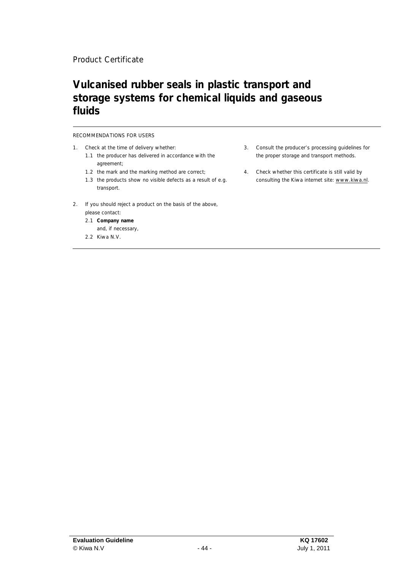### Product Certificate

### **Vulcanised rubber seals in plastic transport and storage systems for chemical liquids and gaseous fluids**

#### RECOMMENDATIONS FOR USERS

- 1. Check at the time of delivery whether:
	- 1.1 the producer has delivered in accordance with the agreement;
	- 1.2 the mark and the marking method are correct;
	- 1.3 the products show no visible defects as a result of e.g. transport.
- 2. If you should reject a product on the basis of the above,
	- please contact:
	- 2.1 **Company name** and, if necessary,
	- 2.2 Kiwa N.V.
- 3. Consult the producer's processing guidelines for the proper storage and transport methods.
- 4. Check whether this certificate is still valid by consulting the Kiwa internet site: [www.kiwa.nl.](http://www.kiwa.nl)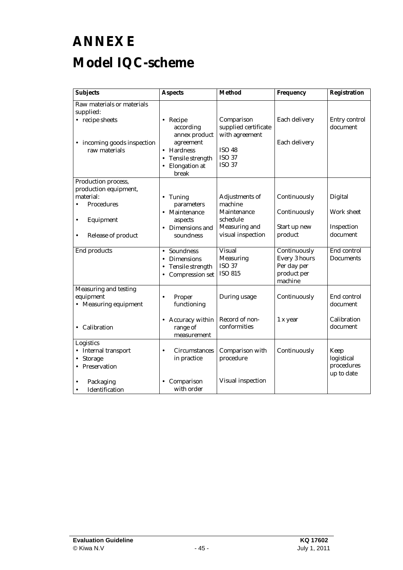# **ANNEX E Model IQC-scheme**

| <b>Subjects</b>                                                                                                                                    | <b>Aspects</b>                                                                                                                        | <b>Method</b>                                                                                                   | Frequency                                                                     | Registration                                                  |
|----------------------------------------------------------------------------------------------------------------------------------------------------|---------------------------------------------------------------------------------------------------------------------------------------|-----------------------------------------------------------------------------------------------------------------|-------------------------------------------------------------------------------|---------------------------------------------------------------|
| Raw materials or materials<br>supplied:<br>• recipe sheets<br>• incoming goods inspection<br>raw materials                                         | • Recipe<br>according<br>annex product<br>agreement<br>• Hardness<br><b>Tensile strength</b><br>$\bullet$<br>• Elongation at<br>break | Comparison<br>supplied certificate<br>with agreement<br><b>ISO 48</b><br><b>ISO 37</b><br><b>ISO 37</b>         | Each delivery<br>Each delivery                                                | <b>Entry control</b><br>document                              |
| Production process,<br>production equipment,<br>material:<br><b>Procedures</b><br>Equipment<br>$\bullet$<br><b>Release of product</b><br>$\bullet$ | • Tuning<br>parameters<br>• Maintenance<br>aspects<br>• Dimensions and<br>soundness                                                   | <b>Adjustments of</b><br>machine<br><b>Maintenance</b><br>schedule<br><b>Measuring and</b><br>visual inspection | Continuously<br>Continuously<br>Start up new<br>product                       | <b>Digital</b><br><b>Work sheet</b><br>Inspection<br>document |
| <b>End products</b>                                                                                                                                | Soundness<br>$\bullet$<br><b>Dimensions</b><br>$\bullet$<br><b>Tensile strength</b><br>$\bullet$<br>• Compression set                 | <b>Visual</b><br><b>Measuring</b><br><b>ISO 37</b><br><b>ISO 815</b>                                            | Continuously<br><b>Every 3 hours</b><br>Per day per<br>product per<br>machine | End control<br><b>Documents</b>                               |
| <b>Measuring and testing</b><br>equipment<br>• Measuring equipment<br>• Calibration                                                                | Proper<br>$\bullet$<br>functioning<br>• Accuracy within<br>range of<br>measurement                                                    | During usage<br>Record of non-<br>conformities                                                                  | Continuously<br>1 x year                                                      | End control<br>document<br><b>Calibration</b><br>document     |
| Logistics<br>• Internal transport<br><b>Storage</b><br>Preservation<br>Packaging<br><b>Identification</b><br>$\bullet$                             | <b>Circumstances</b><br>$\bullet$<br>in practice<br>• Comparison<br>with order                                                        | Comparison with<br>procedure<br><b>Visual inspection</b>                                                        | Continuously                                                                  | Keep<br>logistical<br>procedures<br>up to date                |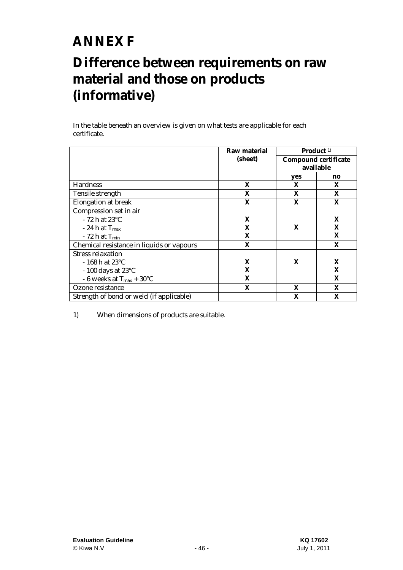## **ANNEX F**

### **Difference between requirements on raw material and those on products (informative)**

In the table beneath an overview is given on what tests are applicable for each certificate.

|                                           | Raw material |     | Product <sup>1)</sup>       |
|-------------------------------------------|--------------|-----|-----------------------------|
|                                           | (sheet)      |     | <b>Compound certificate</b> |
|                                           |              |     | available                   |
|                                           |              | yes | no                          |
| <b>Hardness</b>                           | X            | X   | X                           |
| <b>Tensile strength</b>                   | X            | X   | X                           |
| <b>Elongation at break</b>                | X            | X   | X                           |
| Compression set in air                    |              |     |                             |
| $-72$ h at $23^{\circ}$ C                 | X            |     | X                           |
| $-24$ h at $T_{\rm max}$                  | X            | X   | X                           |
| $-72$ h at $T_{min}$                      | X            |     | X                           |
| Chemical resistance in liquids or vapours | X            |     | X                           |
| <b>Stress relaxation</b>                  |              |     |                             |
| $-168$ h at 23 $^{\circ}$ C               | X            | X   | X                           |
| $-100$ days at 23 $\mathrm{^{\circ}C}$    | X            |     | X                           |
| - 6 weeks at $T_{max}$ + 30°C             | X            |     | X                           |
| Ozone resistance                          | X            | X   | X                           |
| Strength of bond or weld (if applicable)  |              | X   | X                           |

1) When dimensions of products are suitable.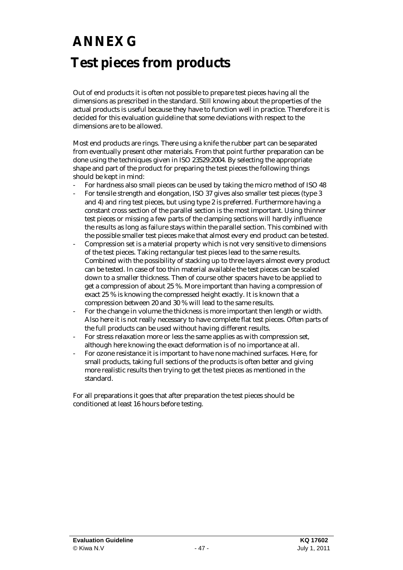# **ANNEX G Test pieces from products**

Out of end products it is often not possible to prepare test pieces having all the dimensions as prescribed in the standard. Still knowing about the properties of the actual products is useful because they have to function well in practice. Therefore it is decided for this evaluation guideline that some deviations with respect to the dimensions are to be allowed.

Most end products are rings. There using a knife the rubber part can be separated from eventually present other materials. From that point further preparation can be done using the techniques given in ISO 23529:2004. By selecting the appropriate shape and part of the product for preparing the test pieces the following things should be kept in mind:

- For hardness also small pieces can be used by taking the micro method of ISO 48
- For tensile strength and elongation, ISO 37 gives also smaller test pieces (type 3 and 4) and ring test pieces, but using type 2 is preferred. Furthermore having a constant cross section of the parallel section is the most important. Using thinner test pieces or missing a few parts of the clamping sections will hardly influence the results as long as failure stays within the parallel section. This combined with the possible smaller test pieces make that almost every end product can be tested.
- Compression set is a material property which is not very sensitive to dimensions of the test pieces. Taking rectangular test pieces lead to the same results. Combined with the possibility of stacking up to three layers almost every product can be tested. In case of too thin material available the test pieces can be scaled down to a smaller thickness. Then of course other spacers have to be applied to get a compression of about 25 %. More important than having a compression of exact 25 % is knowing the compressed height exactly. It is known that a compression between 20 and 30 % will lead to the same results.
- For the change in volume the thickness is more important then length or width. Also here it is not really necessary to have complete flat test pieces. Often parts of the full products can be used without having different results.
- For stress relaxation more or less the same applies as with compression set, although here knowing the exact deformation is of no importance at all.
- For ozone resistance it is important to have none machined surfaces. Here, for small products, taking full sections of the products is often better and giving more realistic results then trying to get the test pieces as mentioned in the standard.

For all preparations it goes that after preparation the test pieces should be conditioned at least 16 hours before testing.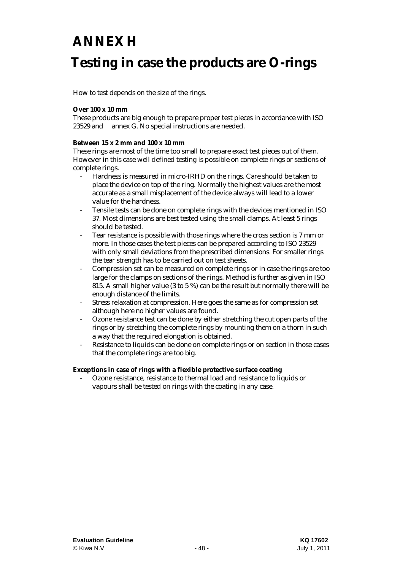### **ANNEX H**

### **Testing in case the products are O-rings**

How to test depends on the size of the rings.

#### **Over 100 x 10 mm**

These products are big enough to prepare proper test pieces in accordance with ISO 23529 and annex G. No special instructions are needed.

#### **Between 15 x 2 mm and 100 x 10 mm**

These rings are most of the time too small to prepare exact test pieces out of them. However in this case well defined testing is possible on complete rings or sections of complete rings.

- Hardness is measured in micro-IRHD on the rings. Care should be taken to place the device on top of the ring. Normally the highest values are the most accurate as a small misplacement of the device always will lead to a lower value for the hardness.
- Tensile tests can be done on complete rings with the devices mentioned in ISO 37. Most dimensions are best tested using the small clamps. At least 5 rings should be tested.
- Tear resistance is possible with those rings where the cross section is 7 mm or more. In those cases the test pieces can be prepared according to ISO 23529 with only small deviations from the prescribed dimensions. For smaller rings the tear strength has to be carried out on test sheets.
- Compression set can be measured on complete rings or in case the rings are too large for the clamps on sections of the rings. Method is further as given in ISO 815. A small higher value (3 to 5 %) can be the result but normally there will be enough distance of the limits.
- Stress relaxation at compression. Here goes the same as for compression set although here no higher values are found.
- Ozone resistance test can be done by either stretching the cut open parts of the rings or by stretching the complete rings by mounting them on a thorn in such a way that the required elongation is obtained.
- Resistance to liquids can be done on complete rings or on section in those cases that the complete rings are too big.

**Exceptions in case of rings with a flexible protective surface coating** 

- Ozone resistance, resistance to thermal load and resistance to liquids or vapours shall be tested on rings with the coating in any case.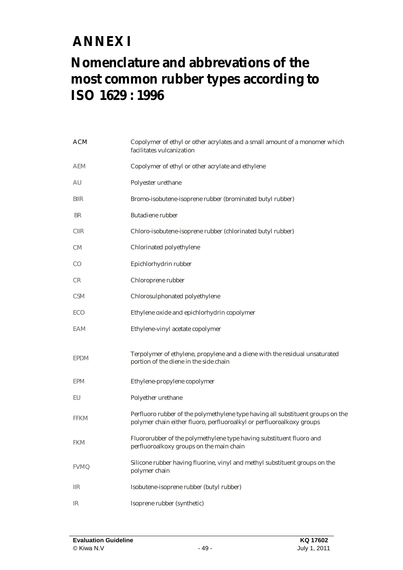## **ANNEX I**

### **Nomenclature and abbrevations of the most common rubber types according to ISO 1629 : 1996**

| <b>ACM</b>                   | Copolymer of ethyl or other acrylates and a small amount of a monomer which<br>facilitates vulcanization                                                 |
|------------------------------|----------------------------------------------------------------------------------------------------------------------------------------------------------|
| <b>AEM</b>                   | Copolymer of ethyl or other acrylate and ethylene                                                                                                        |
| AU                           | Polyester urethane                                                                                                                                       |
| <b>BIIR</b>                  | Bromo-isobutene-isoprene rubber (brominated butyl rubber)                                                                                                |
| <b>BR</b>                    | <b>Butadiene</b> rubber                                                                                                                                  |
| <b>CIIR</b>                  | Chloro-isobutene-isoprene rubber (chlorinated butyl rubber)                                                                                              |
| CM                           | <b>Chlorinated polyethylene</b>                                                                                                                          |
| $\rm CO$                     | Epichlorhydrin rubber                                                                                                                                    |
| CR                           | Chloroprene rubber                                                                                                                                       |
| <b>CSM</b>                   | Chlorosulphonated polyethylene                                                                                                                           |
| <b>ECO</b>                   | Ethylene oxide and epichlorhydrin copolymer                                                                                                              |
| <b>EAM</b>                   | Ethylene-vinyl acetate copolymer                                                                                                                         |
| <b>EPDM</b>                  | Terpolymer of ethylene, propylene and a diene with the residual unsaturated<br>portion of the diene in the side chain                                    |
| <b>EPM</b>                   | Ethylene-propylene copolymer                                                                                                                             |
| EU                           | Polyether urethane                                                                                                                                       |
| <b>FFKM</b>                  | Perfluoro rubber of the polymethylene type having all substituent groups on the<br>polymer chain either fluoro, perfluoroalkyl or perfluoroalkoxy groups |
| <b>FKM</b>                   | Fluororubber of the polymethylene type having substituent fluoro and<br>perfluoroalkoxy groups on the main chain                                         |
| <b>FVMQ</b>                  | Silicone rubber having fluorine, vinyl and methyl substituent groups on the<br>polymer chain                                                             |
| $_{\scriptstyle\rm I\!I\!R}$ | Isobutene-isoprene rubber (butyl rubber)                                                                                                                 |
| $\mathbb{R}$                 | Isoprene rubber (synthetic)                                                                                                                              |